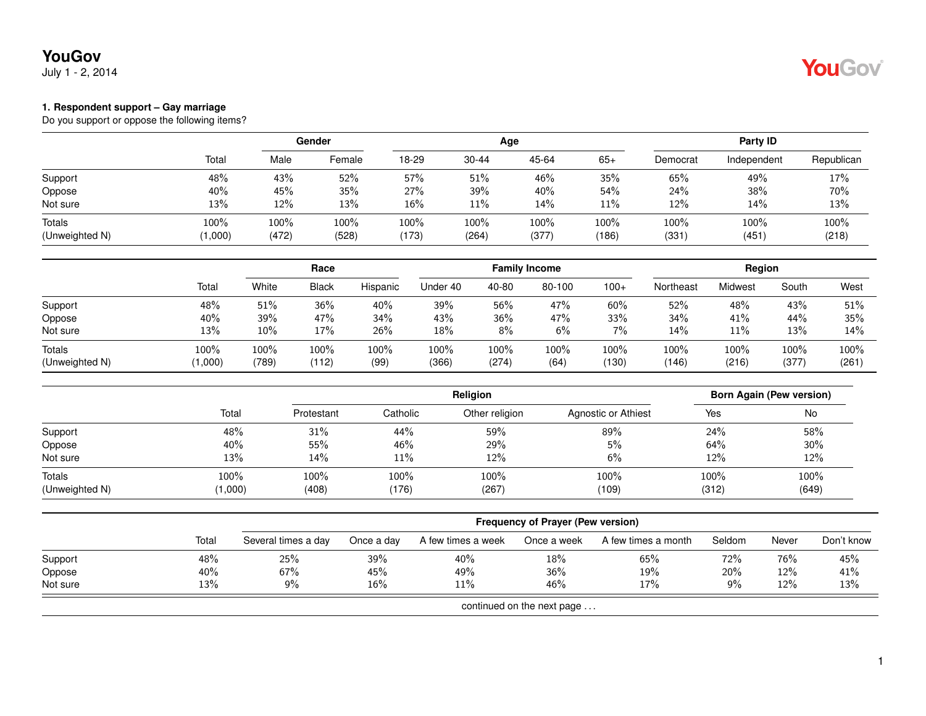July 1 - 2, 2014



#### **1. Respondent support – Gay marriage**

|                |         |       | <b>Gender</b> |       |           | Age     | Party ID |          |             |            |
|----------------|---------|-------|---------------|-------|-----------|---------|----------|----------|-------------|------------|
|                | Total   | Male  | Female        | 18-29 | $30 - 44$ | 45-64   | $65+$    | Democrat | Independent | Republican |
| Support        | 48%     | 43%   | 52%           | 57%   | 51%       | 46%     | 35%      | 65%      | 49%         | 17%        |
| Oppose         | 40%     | 45%   | 35%           | 27%   | 39%       | 40%     | 54%      | 24%      | 38%         | 70%        |
| Not sure       | 13%     | 12%   | 13%           | 16%   | 11%       | 14%     | 11%      | 12%      | 14%         | 13%        |
| <b>Totals</b>  | 100%    | 100%  | 100%          | 100%  | 100%      | $100\%$ | 100%     | 100%     | 100%        | 100%       |
| (Unweighted N) | (1,000) | (472) | (528)         | (173) | (264)     | (377)   | (186)    | (331)    | (451)       | (218)      |

|                                 |                 |               |               |              |               |               | <b>Family Income</b> |               | Region        |               |               |               |
|---------------------------------|-----------------|---------------|---------------|--------------|---------------|---------------|----------------------|---------------|---------------|---------------|---------------|---------------|
|                                 | Tota            | White         | <b>Black</b>  | Hispanic     | Under 40      | 40-80         | 80-100               | $100+$        | Northeast     | Midwest       | South         | West          |
| Support                         | 48%             | 51%           | 36%           | 40%          | 39%           | 56%           | 47%                  | 60%           | 52%           | 48%           | 43%           | 51%           |
| Oppose                          | 40%             | 39%           | 47%           | 34%          | 43%           | 36%           | 47%                  | 33%           | 34%           | 41%           | 44%           | 35%           |
| Not sure                        | 13%             | 10%           | 17%           | 26%          | 18%           | $8\%$         | 6%                   | 7%            | 14%           | 11%           | 13%           | 14%           |
| <b>Totals</b><br>(Unweighted N) | 100%<br>(1,000) | 100%<br>(789) | 100%<br>(112) | 100%<br>(99) | 100%<br>(366) | 100%<br>(274) | 100%<br>(64)         | 100%<br>(130) | 100%<br>(146) | 100%<br>(216) | 100%<br>(377) | 100%<br>(261) |

|                |         | <b>Religion</b> |          |                |                     |       | Born Again (Pew version) |  |  |
|----------------|---------|-----------------|----------|----------------|---------------------|-------|--------------------------|--|--|
|                | Total   | Protestant      | Catholic | Other religion | Agnostic or Athiest | Yes   | No                       |  |  |
| Support        | 48%     | 31%             | 44%      | 59%            | 89%                 | 24%   | 58%                      |  |  |
| Oppose         | 40%     | 55%             | 46%      | 29%            | 5%                  | 64%   | 30%                      |  |  |
| Not sure       | 13%     | 14%             | 11%      | 12%            | 6%                  | 12%   | 12%                      |  |  |
| <b>Totals</b>  | 100%    | 100%            | 100%     | 100%           | 100%                | 100%  | 100%                     |  |  |
| (Unweighted N) | (1,000) | (408)           | (176)    | (267)          | (109)               | (312) | (649)                    |  |  |

|          |       | <b>Frequency of Prayer (Pew version)</b> |            |                    |                            |                     |        |       |            |  |  |
|----------|-------|------------------------------------------|------------|--------------------|----------------------------|---------------------|--------|-------|------------|--|--|
|          | Total | Several times a day                      | Once a day | A few times a week | Once a week                | A few times a month | Seldom | Never | Don't know |  |  |
| Support  | 48%   | 25%                                      | 39%        | 40%                | 18%                        | 65%                 | 72%    | 76%   | 45%        |  |  |
| Oppose   | 40%   | 67%                                      | 45%        | 49%                | 36%                        | 19%                 | 20%    | 12%   | 41%        |  |  |
| Not sure | 13%   | 9%                                       | 16%        | 11%                | 46%                        | 17%                 | $9\%$  | 12%   | 13%        |  |  |
|          |       |                                          |            |                    | continued on the next page |                     |        |       |            |  |  |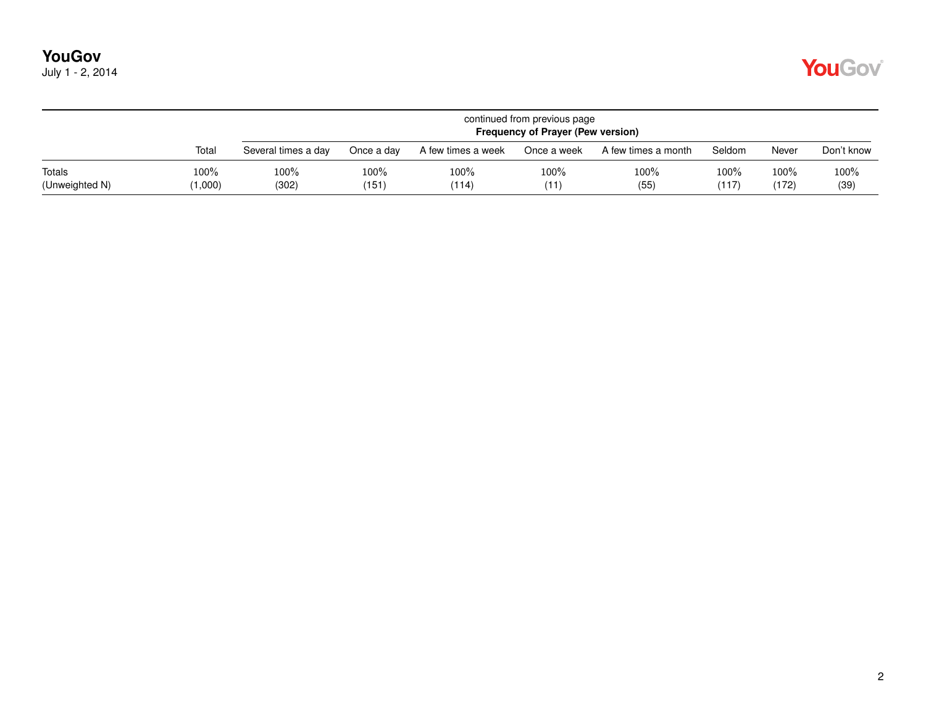|  | July 1 - 2, 2014 |
|--|------------------|
|--|------------------|

|                          |                 |                     | continued from previous page<br><b>Frequency of Prayer (Pew version)</b> |                    |              |                     |                  |               |              |  |  |  |
|--------------------------|-----------------|---------------------|--------------------------------------------------------------------------|--------------------|--------------|---------------------|------------------|---------------|--------------|--|--|--|
|                          | Total           | Several times a day | Once a dav                                                               | A few times a week | Once a week  | A few times a month | Seldom           | Never         | Don't know   |  |  |  |
| Totals<br>(Unweighted N) | 100%<br>(1,000) | $100\%$<br>(302)    | 100%<br>(151)                                                            | 100%<br>(114)      | 100%<br>(11) | 100%<br>(55)        | $100\%$<br>(117) | 100%<br>(172) | 100%<br>(39) |  |  |  |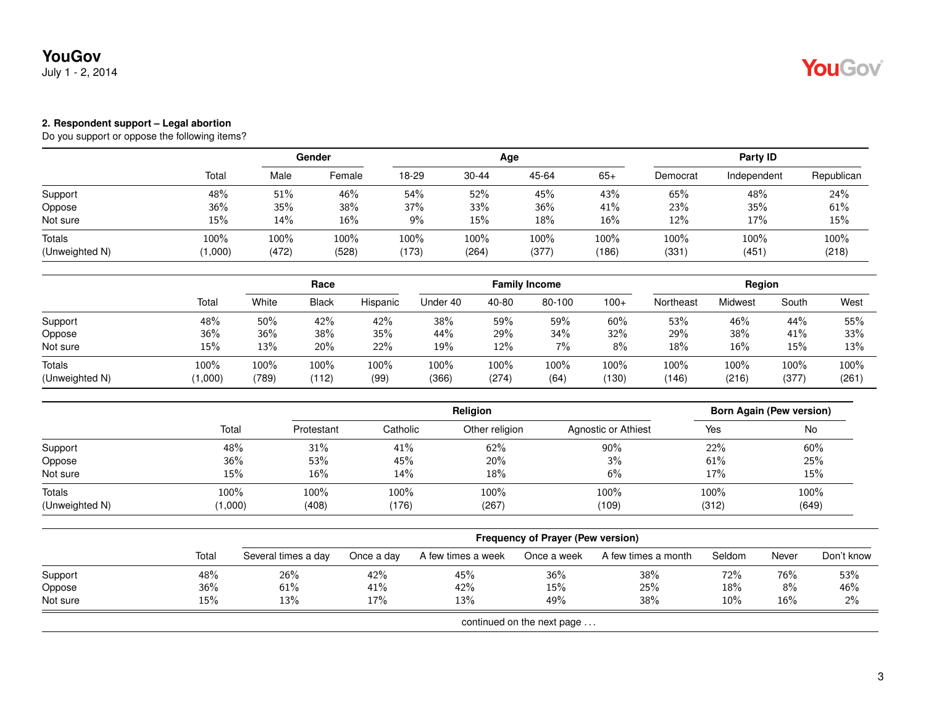#### **2. Respondent support – Legal abortion**

|                          |               | <b>Gender</b> |               |               |               | Age           |               | Party ID     |               |               |
|--------------------------|---------------|---------------|---------------|---------------|---------------|---------------|---------------|--------------|---------------|---------------|
|                          | Total         | Male          | Female        | 18-29         | 30-44         | 45-64         | $65+$         | Democrat     | Independent   | Republican    |
| Support                  | 48%           | 51%           | 46%           | 54%           | 52%           | 45%           | 43%           | 65%          | 48%           | 24%           |
| Oppose                   | 36%           | 35%           | 38%           | 37%           | 33%           | 36%           | 41%           | 23%          | 35%           | 61%           |
| Not sure                 | 15%           | 14%           | 16%           | 9%            | 15%           | 18%           | 16%           | 12%          | 17%           | 15%           |
| Totals<br>(Unweighted N) | 100%<br>1,000 | 100%<br>(472) | 100%<br>(528) | 100%<br>(173) | 100%<br>(264) | 100%<br>(377) | 100%<br>(186) | 100%<br>(331 | 100%<br>(451) | 100%<br>(218) |

|                                 |                 |               |               |              |               |               | <b>Family Income</b> |               | Region        |               |                  |               |
|---------------------------------|-----------------|---------------|---------------|--------------|---------------|---------------|----------------------|---------------|---------------|---------------|------------------|---------------|
|                                 | Total           | White         | <b>Black</b>  | Hispanic     | Under 40      | 40-80         | 80-100               | $100+$        | Northeast     | Midwest       | South            | West          |
| Support                         | 48%             | 50%           | 42%           | 42%          | 38%           | 59%           | 59%                  | 60%           | 53%           | 46%           | 44%              | 55%           |
| Oppose                          | 36%             | 36%           | 38%           | 35%          | 44%           | 29%           | 34%                  | 32%           | 29%           | 38%           | 41%              | 33%           |
| Not sure                        | 15%             | 13%           | 20%           | 22%          | 19%           | 12%           | 7%                   | 8%            | 18%           | 16%           | 15%              | 13%           |
| <b>Totals</b><br>(Unweighted N) | 100%<br>(1,000) | 100%<br>(789) | 100%<br>(112) | 100%<br>(99) | 100%<br>(366) | 100%<br>(274) | 100%<br>(64)         | 100%<br>(130) | 100%<br>(146) | 100%<br>(216) | $100\%$<br>(377) | 100%<br>(261) |

|                |         | <b>Religion</b> |          |                |                     |       | <b>Born Again (Pew version)</b> |  |  |
|----------------|---------|-----------------|----------|----------------|---------------------|-------|---------------------------------|--|--|
|                | Total   | Protestant      | Catholic | Other religion | Agnostic or Athiest | Yes   | No                              |  |  |
| Support        | 48%     | 31%             | 41%      | 62%            | 90%                 | 22%   | 60%                             |  |  |
| Oppose         | 36%     | 53%             | 45%      | 20%            | 3%                  | 61%   | 25%                             |  |  |
| Not sure       | 15%     | 16%             | 14%      | 18%            | 6%                  | 17%   | 15%                             |  |  |
| Totals         | 100%    | 100%            | 100%     | 100%           | 100%                | 100%  | 100%                            |  |  |
| (Unweighted N) | (1,000) | (408)           | (176)    | (267)          | (109)               | (312) | (649)                           |  |  |

|          |       | <b>Frequency of Prayer (Pew version)</b> |            |                    |                            |                     |        |       |            |  |  |
|----------|-------|------------------------------------------|------------|--------------------|----------------------------|---------------------|--------|-------|------------|--|--|
|          | Total | Several times a day                      | Once a day | A few times a week | Once a week                | A few times a month | Seldom | Never | Don't know |  |  |
| Support  | 48%   | 26%                                      | 42%        | 45%                | 36%                        | 38%                 | 72%    | 76%   | 53%        |  |  |
| Oppose   | 36%   | 61%                                      | 41%        | 42%                | 15%                        | 25%                 | 18%    | $8\%$ | 46%        |  |  |
| Not sure | 15%   | 13%                                      | 17%        | 13%                | 49%                        | 38%                 | 10%    | 16%   | $2\%$      |  |  |
|          |       |                                          |            |                    | continued on the next page |                     |        |       |            |  |  |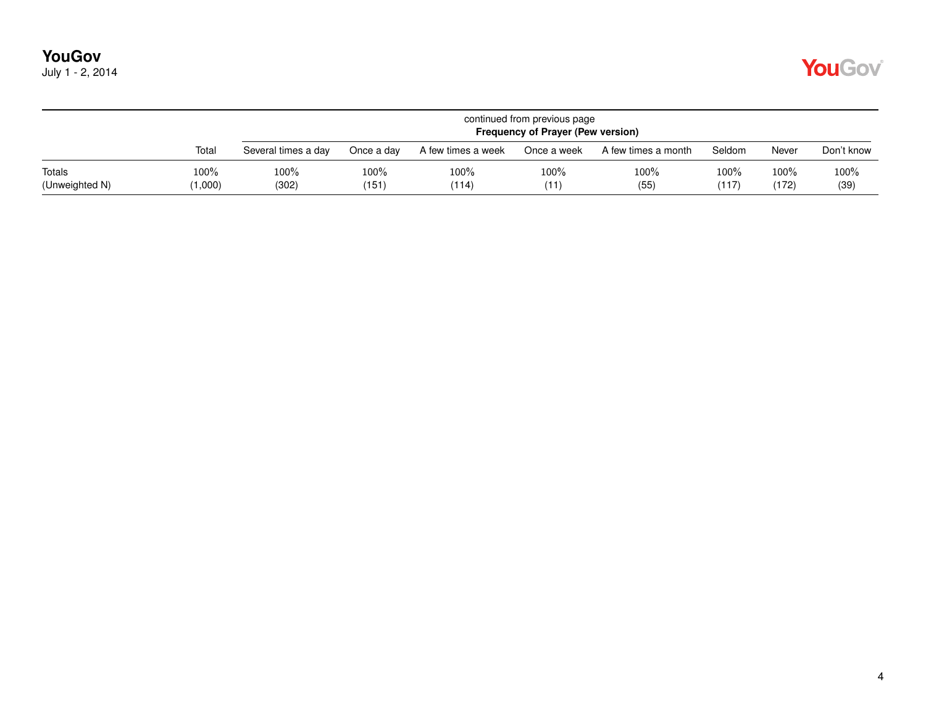|  | July 1 - 2, 2014 |
|--|------------------|
|--|------------------|

|                          |                 |                     | continued from previous page<br><b>Frequency of Prayer (Pew version)</b> |                    |              |                     |               |                  |              |  |  |  |
|--------------------------|-----------------|---------------------|--------------------------------------------------------------------------|--------------------|--------------|---------------------|---------------|------------------|--------------|--|--|--|
|                          | Total           | Several times a day | Once a day                                                               | A few times a week | Once a week  | A few times a month | Seldom        | Never            | Don't know   |  |  |  |
| Totals<br>(Unweighted N) | 100%<br>(1,000) | 100%<br>(302)       | 100%<br>(151)                                                            | 100%<br>(114)      | 100%<br>(11) | 100%<br>(55)        | 100%<br>(117) | $100\%$<br>(172) | 100%<br>(39) |  |  |  |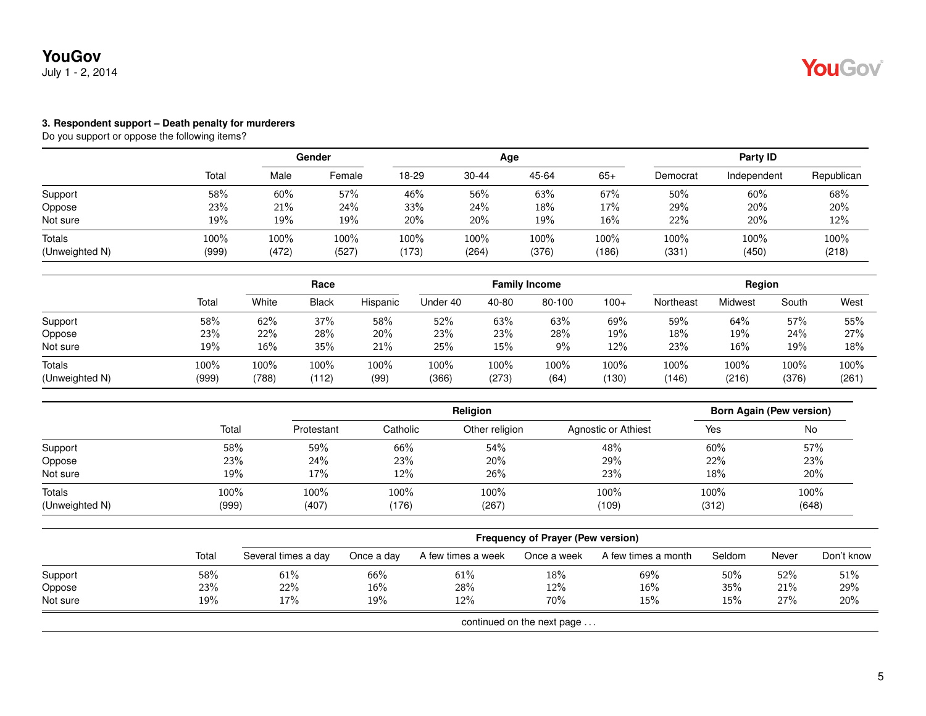### **YouGov** July 1 - 2, 2014

#### **3. Respondent support – Death penalty for murderers**

|                          |               | Gender        |               | Age           |               |               |               | Party ID     |               |               |  |
|--------------------------|---------------|---------------|---------------|---------------|---------------|---------------|---------------|--------------|---------------|---------------|--|
|                          | Total         | Male          | Female        | 18-29         | $30 - 44$     | 45-64         | $65+$         | Democrat     | Independent   | Republican    |  |
| Support                  | 58%           | 60%           | 57%           | 46%           | 56%           | 63%           | 67%           | 50%          | 60%           | 68%           |  |
| Oppose                   | 23%           | 21%           | 24%           | 33%           | 24%           | 18%           | 17%           | 29%          | 20%           | 20%           |  |
| Not sure                 | 19%           | 19%           | 19%           | 20%           | 20%           | 19%           | 16%           | 22%          | 20%           | 12%           |  |
| Totals<br>(Unweighted N) | 100%<br>(999) | 100%<br>(472) | 100%<br>(527) | 100%<br>(173) | 100%<br>(264) | 100%<br>(376) | 100%<br>(186) | 100%<br>(331 | 100%<br>(450) | 100%<br>(218) |  |

|                                 |               |               | Race          |              | <b>Family Income</b> |               |              |               | Region        |               |               |               |
|---------------------------------|---------------|---------------|---------------|--------------|----------------------|---------------|--------------|---------------|---------------|---------------|---------------|---------------|
|                                 | Total         | White         | <b>Black</b>  | Hispanic     | Under 40             | 40-80         | 80-100       | $100+$        | Northeast     | Midwest       | South         | West          |
| Support                         | 58%           | 62%           | 37%           | 58%          | 52%                  | 63%           | 63%          | 69%           | 59%           | 64%           | 57%           | 55%           |
| Oppose                          | 23%           | 22%           | 28%           | 20%          | 23%                  | 23%           | 28%          | 19%           | 18%           | 19%           | 24%           | 27%           |
| Not sure                        | 19%           | 16%           | 35%           | 21%          | 25%                  | 15%           | 9%           | 12%           | 23%           | 16%           | 19%           | 18%           |
| <b>Totals</b><br>(Unweighted N) | 100%<br>(999) | 100%<br>(788) | 100%<br>(112) | 100%<br>(99) | 100%<br>(366)        | 100%<br>(273) | 100%<br>(64) | 100%<br>(130) | 100%<br>(146) | 100%<br>(216) | 100%<br>(376) | 100%<br>(261) |

|                          |                  |               |               |                  | <b>Born Again (Pew version)</b> |               |               |
|--------------------------|------------------|---------------|---------------|------------------|---------------------------------|---------------|---------------|
|                          | Total            | Protestant    | Catholic      | Other religion   | Agnostic or Athiest             | Yes           | No            |
| Support                  | 58%              | 59%           | 66%           | 54%              | 48%                             | 60%           | 57%           |
| Oppose                   | 23%              | 24%           | 23%           | 20%              | 29%                             | 22%           | 23%           |
| Not sure                 | 19%              | 17%           | 12%           | 26%              | 23%                             | 18%           | 20%           |
| Totals<br>(Unweighted N) | $100\%$<br>(999) | 100%<br>(407) | 100%<br>(176) | $100\%$<br>(267) | 100%<br>(109)                   | 100%<br>(312) | 100%<br>(648) |

|          |                            | <b>Frequency of Prayer (Pew version)</b> |            |                    |             |                     |        |       |            |  |  |  |
|----------|----------------------------|------------------------------------------|------------|--------------------|-------------|---------------------|--------|-------|------------|--|--|--|
|          | Total                      | Several times a day                      | Once a day | A few times a week | Once a week | A few times a month | Seldom | Never | Don't know |  |  |  |
| Support  | 58%                        | 61%                                      | 66%        | 61%                | 18%         | 69%                 | 50%    | 52%   | 51%        |  |  |  |
| Oppose   | 23%                        | 22%                                      | 16%        | 28%                | 12%         | 16%                 | 35%    | 21%   | 29%        |  |  |  |
| Not sure | 19%                        | 17%                                      | 19%        | 12%                | 70%         | 15%                 | 15%    | 27%   | 20%        |  |  |  |
|          | continued on the next page |                                          |            |                    |             |                     |        |       |            |  |  |  |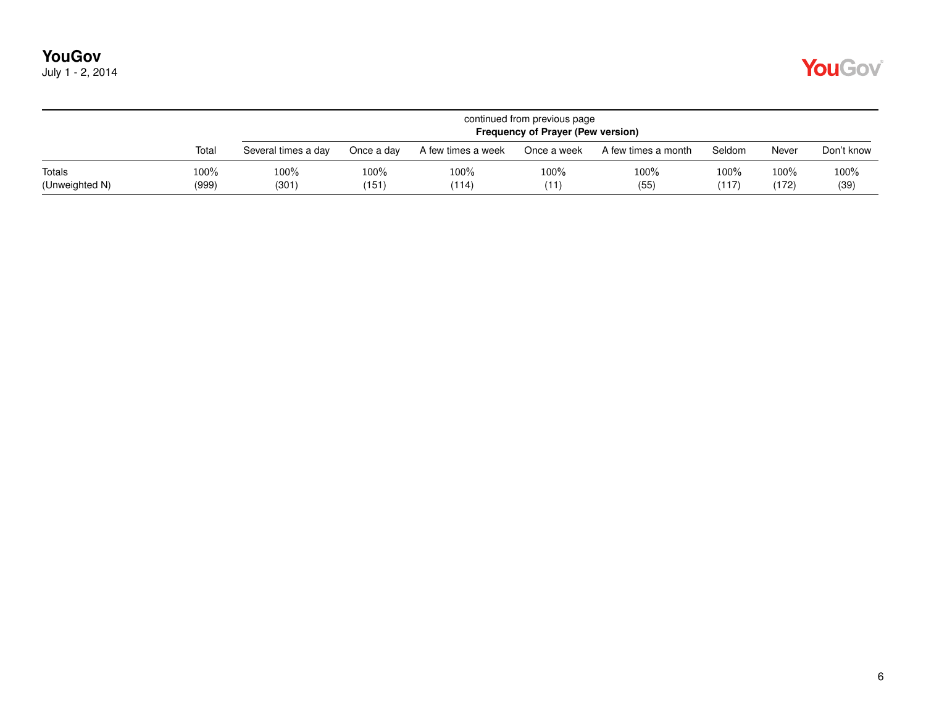| July 1 - 2, 2014 |  |  |  |
|------------------|--|--|--|
|------------------|--|--|--|

|                          |                  |                     | continued from previous page<br><b>Frequency of Prayer (Pew version)</b> |                    |              |                     |               |               |              |  |  |  |
|--------------------------|------------------|---------------------|--------------------------------------------------------------------------|--------------------|--------------|---------------------|---------------|---------------|--------------|--|--|--|
|                          | Total            | Several times a day | Once a day                                                               | A few times a week | Once a week  | A few times a month | Seldom        | Never         | Don't know   |  |  |  |
| Totals<br>(Unweighted N) | $100\%$<br>(999) | 100%<br>(301)       | $100\%$<br>(151)                                                         | $100\%$<br>(114)   | 100%<br>(11) | 100%<br>(55)        | 100%<br>(117) | 100%<br>(172) | 100%<br>(39) |  |  |  |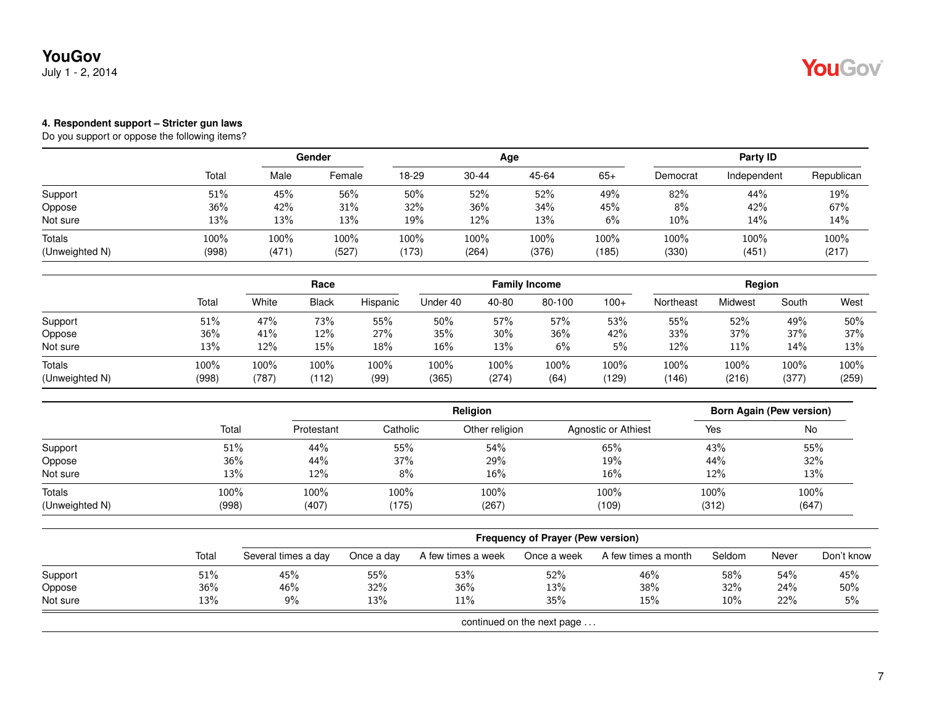#### **4. Respondent support – Stricter gun laws**

|                          |               | Gender        |               | Age           |               |               |               | Party ID      |               |               |  |
|--------------------------|---------------|---------------|---------------|---------------|---------------|---------------|---------------|---------------|---------------|---------------|--|
|                          | Total         | Male          | Female        | 18-29         | 30-44         | 45-64         | $65+$         | Democrat      | Independent   | Republican    |  |
| Support                  | 51%           | 45%           | 56%           | 50%           | 52%           | 52%           | 49%           | 82%           | 44%           | 19%           |  |
| Oppose                   | 36%           | 42%           | 31%           | 32%           | 36%           | 34%           | 45%           | 8%            | 42%           | 67%           |  |
| Not sure                 | 13%           | 13%           | 13%           | 19%           | 12%           | 13%           | 6%            | 10%           | 14%           | 14%           |  |
| Totals<br>(Unweighted N) | 100%<br>(998) | 100%<br>(471) | 100%<br>(527) | 100%<br>(173) | 100%<br>(264) | 100%<br>(376) | 100%<br>(185) | 100%<br>(330) | 100%<br>(451) | 100%<br>(217) |  |

|                                 |               | Race          |               |              | <b>Family Income</b> |               |              |               | Region        |               |               |               |
|---------------------------------|---------------|---------------|---------------|--------------|----------------------|---------------|--------------|---------------|---------------|---------------|---------------|---------------|
|                                 | Total         | White         | <b>Black</b>  | Hispanic     | Under 40             | 40-80         | 80-100       | $100+$        | Northeast     | Midwest       | South         | West          |
| Support                         | 51%           | 47%           | 73%           | 55%          | 50%                  | 57%           | 57%          | 53%           | 55%           | 52%           | 49%           | 50%           |
| Oppose                          | 36%           | 41%           | 12%           | 27%          | 35%                  | 30%           | 36%          | 42%           | 33%           | 37%           | 37%           | 37%           |
| Not sure                        | 13%           | 12%           | 15%           | 18%          | 16%                  | 13%           | 6%           | 5%            | 12%           | 11%           | 14%           | 13%           |
| <b>Totals</b><br>(Unweighted N) | 100%<br>(998) | 100%<br>(787) | 100%<br>(112) | 100%<br>(99) | 100%<br>(365)        | 100%<br>(274) | 100%<br>(64) | 100%<br>(129) | 100%<br>(146) | 100%<br>(216) | 100%<br>(377) | 100%<br>(259) |

|                |       |            |          | <b>Born Again (Pew version)</b> |                     |       |       |
|----------------|-------|------------|----------|---------------------------------|---------------------|-------|-------|
|                | Total | Protestant | Catholic | Other religion                  | Agnostic or Athiest | Yes   | No    |
| Support        | 51%   | 44%        | 55%      | 54%                             | 65%                 | 43%   | 55%   |
| Oppose         | 36%   | 44%        | 37%      | 29%                             | 19%                 | 44%   | 32%   |
| Not sure       | 13%   | 12%        | 8%       | 16%                             | 16%                 | 12%   | 13%   |
| Totals         | 100%  | 100%       | 100%     | 100%                            | 100%                | 100%  | 100%  |
| (Unweighted N) | (998) | (407)      | (175)    | (267)                           | (109)               | (312) | (647) |

|          |                            | Frequency of Prayer (Pew version) |            |                    |             |                     |        |       |            |  |  |  |
|----------|----------------------------|-----------------------------------|------------|--------------------|-------------|---------------------|--------|-------|------------|--|--|--|
|          | Totai                      | Several times a day               | Once a day | A few times a week | Once a week | A few times a month | Seldom | Never | Don't know |  |  |  |
| Support  | 51%                        | 45%                               | 55%        | 53%                | 52%         | 46%                 | 58%    | 54%   | 45%        |  |  |  |
| Oppose   | 36%                        | 46%                               | 32%        | $36\%$             | 13%         | 38%                 | 32%    | 24%   | $50\%$     |  |  |  |
| Not sure | 13%                        | 9%                                | 13%        | 11%                | 35%         | 15%                 | 10%    | 22%   | 5%         |  |  |  |
|          | continued on the next page |                                   |            |                    |             |                     |        |       |            |  |  |  |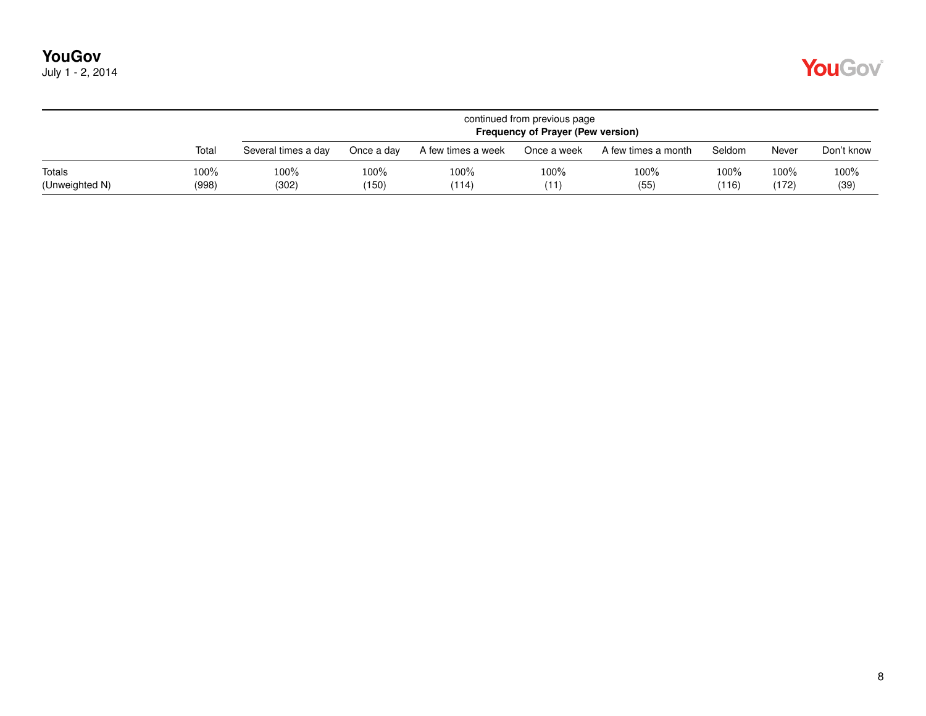| July 1 - 2, 2014 |  |  |  |
|------------------|--|--|--|
|------------------|--|--|--|

|                          |                  |                     | continued from previous page<br><b>Frequency of Prayer (Pew version)</b> |                    |              |                     |               |               |              |  |  |  |
|--------------------------|------------------|---------------------|--------------------------------------------------------------------------|--------------------|--------------|---------------------|---------------|---------------|--------------|--|--|--|
|                          | Total            | Several times a day | Once a day                                                               | A few times a week | Once a week  | A few times a month | Seldom        | Never         | Don't know   |  |  |  |
| Totals<br>(Unweighted N) | $100\%$<br>(998) | 100%<br>(302)       | $100\%$<br>(150)                                                         | $100\%$<br>(114)   | 100%<br>(11) | 100%<br>(55)        | 100%<br>(116) | 100%<br>(172) | 100%<br>(39) |  |  |  |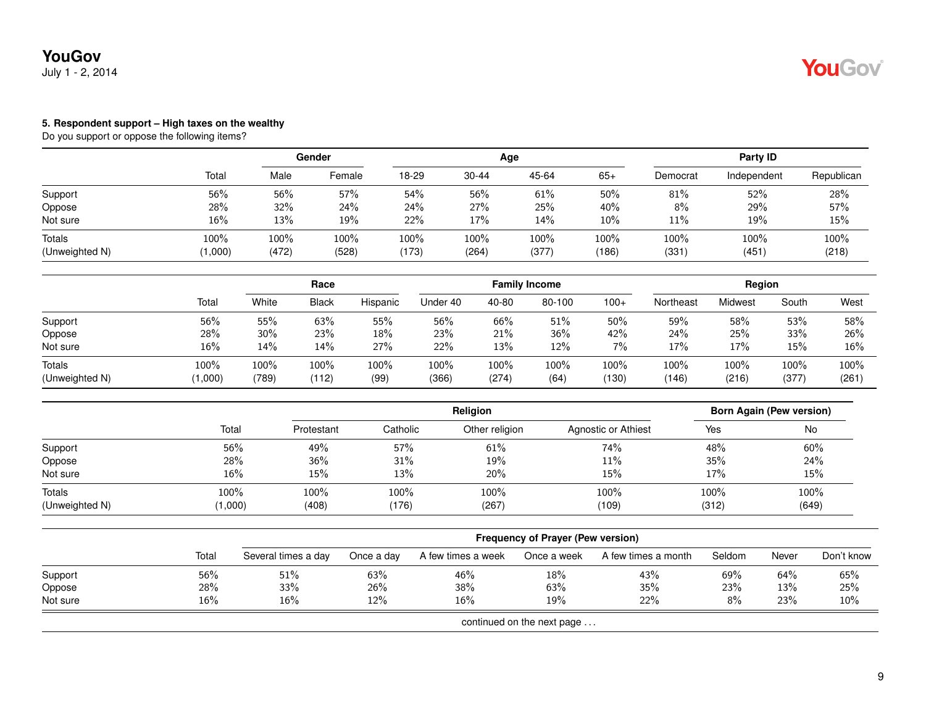### **YouGov** July 1 - 2, 2014

#### **5. Respondent support – High taxes on the wealthy**

|                          |               | Gender        |               |                  |               | Age           |               | Party ID     |               |               |  |
|--------------------------|---------------|---------------|---------------|------------------|---------------|---------------|---------------|--------------|---------------|---------------|--|
|                          | Total         | Male          | Female        | 18-29            | $30 - 44$     | 45-64         | $65+$         | Democrat     | Independent   | Republican    |  |
| Support                  | 56%           | 56%           | 57%           | 54%              | 56%           | 61%           | 50%           | 81%          | 52%           | 28%           |  |
| Oppose                   | 28%           | 32%           | 24%           | 24%              | 27%           | 25%           | 40%           | 8%           | 29%           | 57%           |  |
| Not sure                 | 16%           | 13%           | 19%           | 22%              | 17%           | 14%           | $10\%$        | 11%          | 19%           | 15%           |  |
| Totals<br>(Unweighted N) | 100%<br>1,000 | 100%<br>(472) | 100%<br>(528) | $100\%$<br>(173) | 100%<br>(264) | 100%<br>(377) | 100%<br>(186) | 100%<br>(331 | 100%<br>(451) | 100%<br>(218) |  |

|                                 |                 | Race          |               |              |               |               | <b>Family Income</b> |               | Region        |               |                  |               |
|---------------------------------|-----------------|---------------|---------------|--------------|---------------|---------------|----------------------|---------------|---------------|---------------|------------------|---------------|
|                                 | Total           | White         | <b>Black</b>  | Hispanic     | Under 40      | 40-80         | 80-100               | $100+$        | Northeast     | Midwest       | South            | West          |
| Support                         | 56%             | 55%           | 63%           | 55%          | 56%           | 66%           | 51%                  | 50%           | 59%           | 58%           | 53%              | 58%           |
| Oppose                          | 28%             | 30%           | 23%           | 18%          | 23%           | 21%           | 36%                  | 42%           | 24%           | 25%           | 33%              | 26%           |
| Not sure                        | 16%             | 14%           | 14%           | 27%          | 22%           | 13%           | 12%                  | $7\%$         | 17%           | 17%           | 15%              | 16%           |
| <b>Totals</b><br>(Unweighted N) | 100%<br>(1,000) | 100%<br>(789) | 100%<br>(112) | 100%<br>(99) | 100%<br>(366) | 100%<br>(274) | 100%<br>(64)         | 100%<br>(130) | 100%<br>(146) | 100%<br>(216) | $100\%$<br>(377) | 100%<br>(261) |

|                |         |            |          | Born Again (Pew version) |                     |       |       |
|----------------|---------|------------|----------|--------------------------|---------------------|-------|-------|
|                | Total   | Protestant | Catholic | Other religion           | Agnostic or Athiest | Yes   | No    |
| Support        | 56%     | 49%        | 57%      | 61%                      | 74%                 | 48%   | 60%   |
| Oppose         | 28%     | 36%        | 31%      | 19%                      | 11%                 | 35%   | 24%   |
| Not sure       | 16%     | 15%        | 13%      | 20%                      | 15%                 | 17%   | 15%   |
| Totals         | 100%    | 100%       | 100%     | 100%                     | 100%                | 100%  | 100%  |
| (Unweighted N) | (1,000) | (408)      | (176)    | (267)                    | (109)               | (312) | (649) |

|          |       |                     |            |                    | <b>Frequency of Prayer (Pew version)</b> |                     |        |       |            |
|----------|-------|---------------------|------------|--------------------|------------------------------------------|---------------------|--------|-------|------------|
|          | Total | Several times a day | Once a day | A few times a week | Once a week                              | A few times a month | Seldom | Never | Don't know |
| Support  | 56%   | 51%                 | 63%        | 46%                | 18%                                      | 43%                 | 69%    | 64%   | 65%        |
| Oppose   | 28%   | 33%                 | 26%        | 38%                | 63%                                      | 35%                 | 23%    | 13%   | 25%        |
| Not sure | 16%   | $16\%$              | 12%        | 16%                | 19%                                      | 22%                 | 8%     | 23%   | $10\%$     |
|          |       |                     |            |                    | continued on the next page $\dots$       |                     |        |       |            |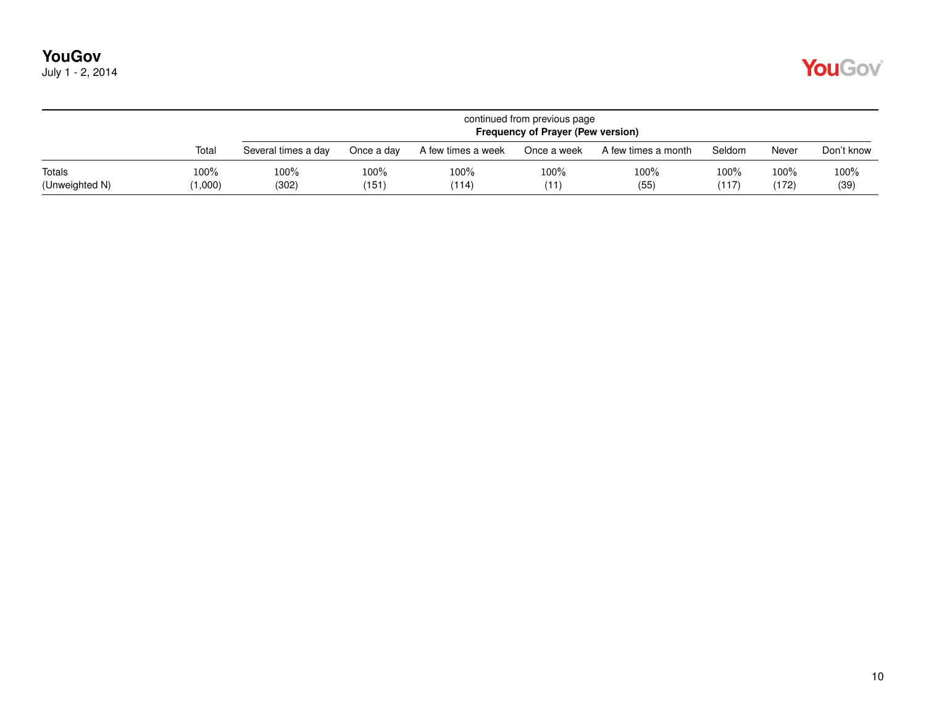|                          |                 |                     |               |                    | continued from previous page<br>Frequency of Prayer (Pew version) |                     |               |                  |              |
|--------------------------|-----------------|---------------------|---------------|--------------------|-------------------------------------------------------------------|---------------------|---------------|------------------|--------------|
|                          | Total           | Several times a day | Once a dav    | A few times a week | Once a week                                                       | A few times a month | Seldom        | Never            | Don't know   |
| Totals<br>(Unweighted N) | 100%<br>(1,000) | 100%<br>(302)       | 100%<br>(151) | 100%<br>(114)      | 100%<br>(11)                                                      | 100%<br>(55)        | 100%<br>(117) | $100\%$<br>(172) | 100%<br>(39) |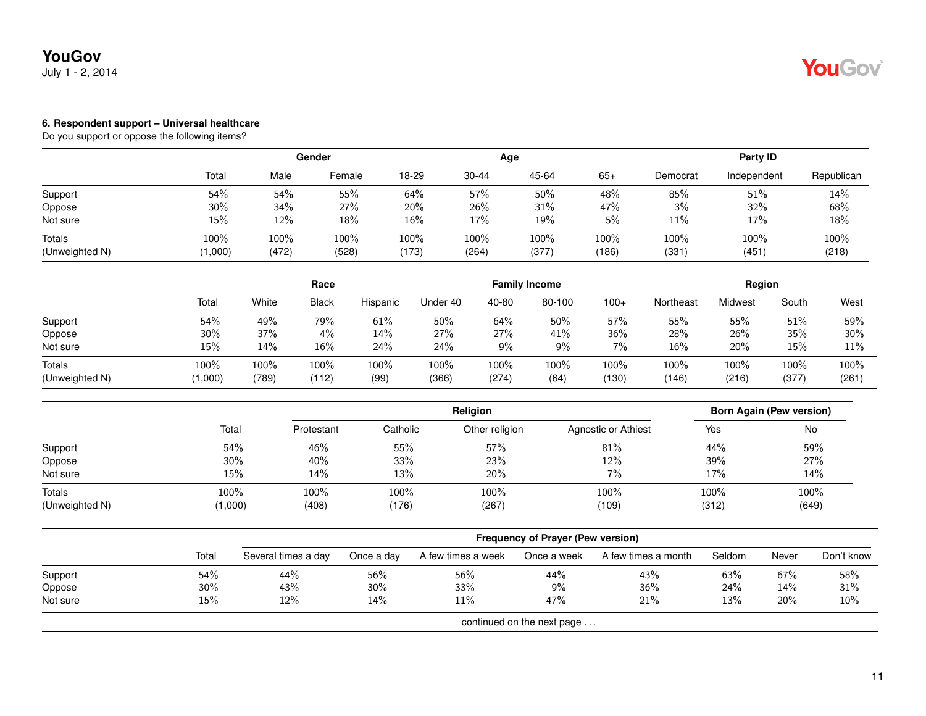### **YouGov** July 1 - 2, 2014

#### **6. Respondent support – Universal healthcare**

|                          |                 | Gender        |               |               |               | Age           | Party ID      |              |               |               |
|--------------------------|-----------------|---------------|---------------|---------------|---------------|---------------|---------------|--------------|---------------|---------------|
|                          | Total           | Male          | Female        | 18-29         | 30-44         | 45-64         | $65+$         | Democrat     | Independent   | Republican    |
| Support                  | 54%             | 54%           | 55%           | 64%           | 57%           | 50%           | 48%           | 85%          | 51%           | 14%           |
| Oppose                   | 30%             | 34%           | 27%           | 20%           | 26%           | 31%           | 47%           | 3%           | 32%           | 68%           |
| Not sure                 | 15%             | 12%           | 18%           | 16%           | 17%           | 19%           | 5%            | 11%          | 17%           | 18%           |
| Totals<br>(Unweighted N) | 100%<br>(1,000) | 100%<br>(472) | 100%<br>(528) | 100%<br>(173) | 100%<br>(264) | 100%<br>(377) | 100%<br>(186) | 100%<br>(331 | 100%<br>(451) | 100%<br>(218) |

|                                 |                 | Race          |               |              |               | <b>Family Income</b> |              | Region        |               |               |               |               |
|---------------------------------|-----------------|---------------|---------------|--------------|---------------|----------------------|--------------|---------------|---------------|---------------|---------------|---------------|
|                                 | Tota            | White         | <b>Black</b>  | Hispanic     | Under 40      | 40-80                | 80-100       | $100+$        | Northeast     | Midwest       | South         | West          |
| Support                         | 54%             | 49%           | 79%           | $61\%$       | 50%           | 64%                  | 50%          | 57%           | 55%           | 55%           | 51%           | 59%           |
| Oppose                          | $30\%$          | 37%           | 4%            | 14%          | 27%           | 27%                  | 41%          | 36%           | 28%           | 26%           | 35%           | 30%           |
| Not sure                        | 15%             | 14%           | 16%           | 24%          | 24%           | 9%                   | 9%           | 7%            | 16%           | 20%           | 15%           | 11%           |
| <b>Totals</b><br>(Unweighted N) | 100%<br>(1,000) | 100%<br>(789) | 100%<br>(112) | 100%<br>(99) | 100%<br>(366) | 100%<br>(274)        | 100%<br>(64) | 100%<br>(130) | 100%<br>(146) | 100%<br>(216) | 100%<br>(377) | 100%<br>(261) |

|                                 |                 |               |               | <b>Born Again (Pew version)</b> |                     |               |               |
|---------------------------------|-----------------|---------------|---------------|---------------------------------|---------------------|---------------|---------------|
|                                 | Total           | Protestant    | Catholic      | Other religion                  | Agnostic or Athiest | Yes           | No            |
| Support                         | 54%             | 46%           | 55%           | 57%                             | 81%                 | 44%           | 59%           |
| Oppose                          | $30\%$          | 40%           | 33%           | 23%                             | 12%                 | 39%           | 27%           |
| Not sure                        | 15%             | 14%           | 13%           | 20%                             | $7\%$               | 17%           | 14%           |
| <b>Totals</b><br>(Unweighted N) | 100%<br>(1,000) | 100%<br>(408) | 100%<br>(176) | 100%<br>(267)                   | 100%<br>(109)       | 100%<br>(312) | 100%<br>(649) |

|          |       |                     |            |                    | <b>Frequency of Prayer (Pew version)</b> |                     |        |       |            |
|----------|-------|---------------------|------------|--------------------|------------------------------------------|---------------------|--------|-------|------------|
|          | Total | Several times a day | Once a day | A few times a week | Once a week                              | A few times a month | Seldom | Never | Don't know |
| Support  | 54%   | 44%                 | 56%        | 56%                | 44%                                      | 43%                 | 63%    | 67%   | 58%        |
| Oppose   | 30%   | 43%                 | 30%        | 33%                | 9%                                       | 36%                 | 24%    | 14%   | 31%        |
| Not sure | 15%   | 12%                 | 14%        | 11%                | 47%                                      | 21%                 | 13%    | 20%   | 10%        |
|          |       |                     |            |                    | continued on the next page               |                     |        |       |            |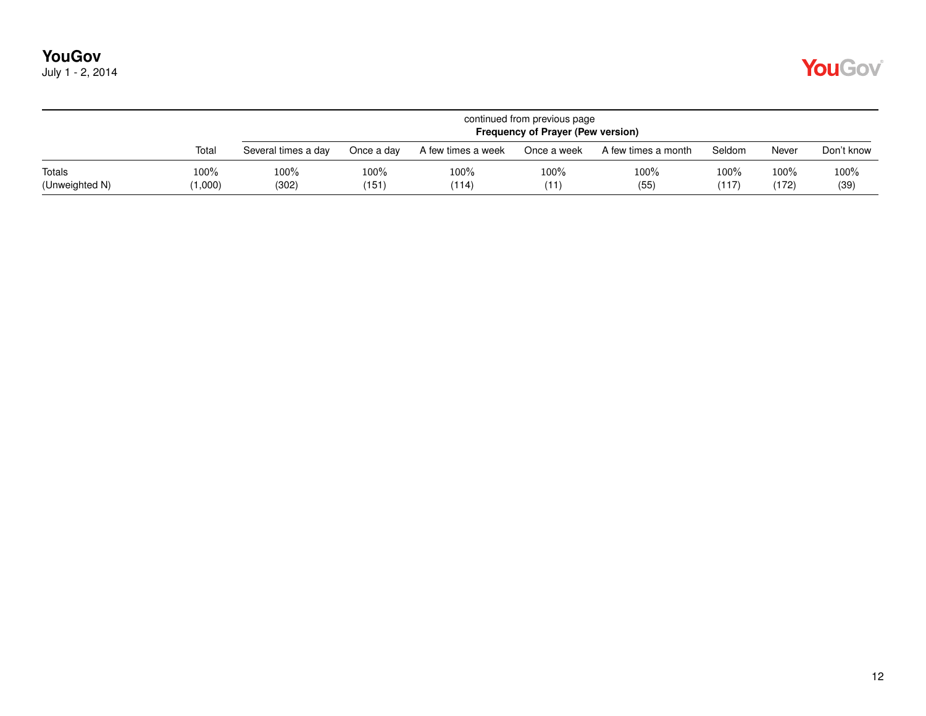|  | July 1 - 2, 2014 |
|--|------------------|
|--|------------------|

|                          |                 |                     |               |                    | continued from previous page<br><b>Frequency of Prayer (Pew version)</b> |                     |               |                  |              |
|--------------------------|-----------------|---------------------|---------------|--------------------|--------------------------------------------------------------------------|---------------------|---------------|------------------|--------------|
|                          | Total           | Several times a day | Once a day    | A few times a week | Once a week                                                              | A few times a month | Seldom        | Never            | Don't know   |
| Totals<br>(Unweighted N) | 100%<br>(1,000) | 100%<br>(302)       | 100%<br>(151) | 100%<br>(114)      | 100%<br>(11)                                                             | 100%<br>(55)        | 100%<br>(117) | $100\%$<br>(172) | 100%<br>(39) |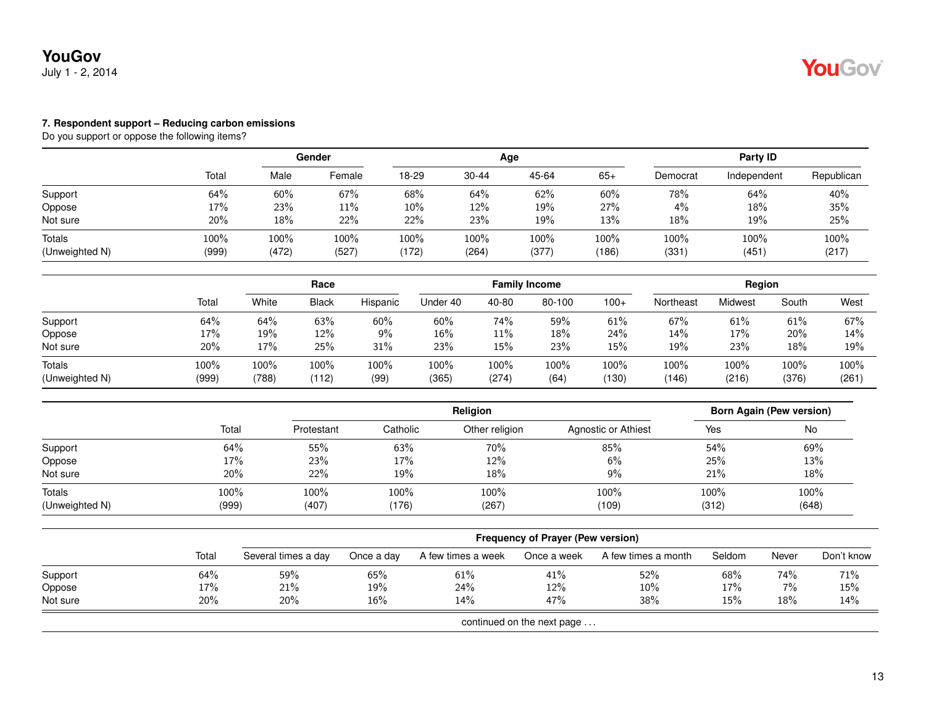### **YouGov** July 1 - 2, 2014

#### **7. Respondent support – Reducing carbon emissions**

|                          |               | Gender        |               |               |               | Age           | Party ID      |              |               |               |
|--------------------------|---------------|---------------|---------------|---------------|---------------|---------------|---------------|--------------|---------------|---------------|
|                          | Total         | Male          | Female        | 18-29         | $30 - 44$     | 45-64         | $65+$         | Democrat     | Independent   | Republican    |
| Support                  | 64%           | 60%           | 67%           | 68%           | 64%           | 62%           | 60%           | 78%          | 64%           | 40%           |
| Oppose                   | 17%           | 23%           | 11%           | 10%           | 12%           | 19%           | 27%           | 4%           | 18%           | 35%           |
| Not sure                 | 20%           | 18%           | 22%           | 22%           | 23%           | 19%           | 13%           | 18%          | 19%           | 25%           |
| Totals<br>(Unweighted N) | 100%<br>(999) | 100%<br>(472) | 100%<br>(527) | 100%<br>(172) | 100%<br>(264) | 100%<br>(377) | 100%<br>(186) | 100%<br>(331 | 100%<br>(451) | 100%<br>(217) |

|                                 |               | Race          |               |              | <b>Family Income</b> |               |              |               | Region        |               |               |               |
|---------------------------------|---------------|---------------|---------------|--------------|----------------------|---------------|--------------|---------------|---------------|---------------|---------------|---------------|
|                                 | Total         | White         | <b>Black</b>  | Hispanic     | Under 40             | 40-80         | 80-100       | $100+$        | Northeast     | Midwest       | South         | West          |
| Support                         | 64%           | 64%           | 63%           | 60%          | 60%                  | 74%           | 59%          | 61%           | 67%           | 61%           | 61%           | 67%           |
| Oppose                          | 17%           | 19%           | 12%           | 9%           | $16\%$               | $11\%$        | 18%          | 24%           | 14%           | 17%           | 20%           | 14%           |
| Not sure                        | 20%           | 17%           | 25%           | 31%          | 23%                  | 15%           | 23%          | 15%           | 19%           | 23%           | 18%           | 19%           |
| <b>Totals</b><br>(Unweighted N) | 100%<br>(999) | 100%<br>(788) | 100%<br>(112) | 100%<br>(99) | 100%<br>(365)        | 100%<br>(274) | 100%<br>(64) | 100%<br>(130) | 100%<br>(146) | 100%<br>(216) | 100%<br>(376) | 100%<br>(261) |

|                |       |            |          | <b>Born Again (Pew version)</b> |                     |       |       |
|----------------|-------|------------|----------|---------------------------------|---------------------|-------|-------|
|                | Total | Protestant | Catholic | Other religion                  | Agnostic or Athiest | Yes   | No    |
| Support        | 64%   | 55%        | 63%      | 70%                             | 85%                 | 54%   | 69%   |
| Oppose         | 17%   | 23%        | 17%      | 12%                             | 6%                  | 25%   | 13%   |
| Not sure       | 20%   | 22%        | 19%      | 18%                             | $9\%$               | 21%   | 18%   |
| Totals         | 100%  | 100%       | 100%     | 100%                            | 100%                | 100%  | 100%  |
| (Unweighted N) | (999) | (407)      | (176)    | (267)                           | (109)               | (312) | (648) |

|          |       | <b>Frequency of Prayer (Pew version)</b> |            |                    |                            |                     |        |       |            |  |  |  |
|----------|-------|------------------------------------------|------------|--------------------|----------------------------|---------------------|--------|-------|------------|--|--|--|
|          | Total | Several times a day                      | Once a day | A few times a week | Once a week                | A few times a month | Seldom | Never | Don't know |  |  |  |
| Support  | 64%   | 59%                                      | 65%        | 61%                | 41%                        | 52%                 | 68%    | 74%   | 71%        |  |  |  |
| Oppose   | 17%   | 21%                                      | 19%        | 24%                | 12%                        | 10%                 | 17%    | $7\%$ | 15%        |  |  |  |
| Not sure | 20%   | 20%                                      | 16%        | 14%                | 47%                        | 38%                 | 15%    | 18%   | 14%        |  |  |  |
|          |       |                                          |            |                    | continued on the next page |                     |        |       |            |  |  |  |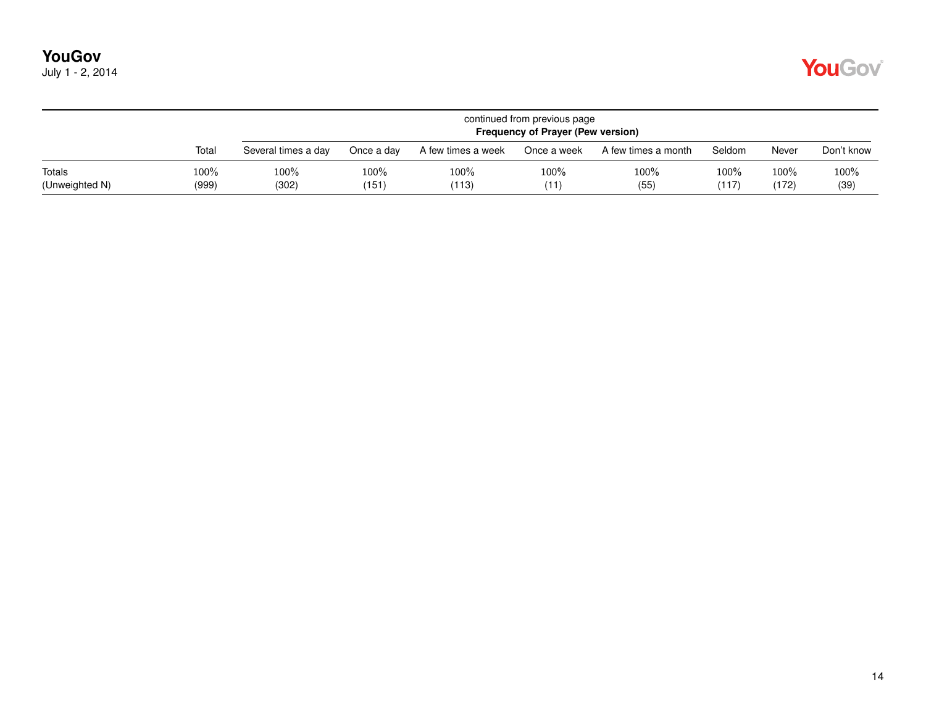| July 1 - 2, 2014 |  |  |  |
|------------------|--|--|--|
|------------------|--|--|--|

|                          |                  |                     | continued from previous page<br><b>Frequency of Prayer (Pew version)</b> |                    |              |                     |               |               |              |  |  |  |  |
|--------------------------|------------------|---------------------|--------------------------------------------------------------------------|--------------------|--------------|---------------------|---------------|---------------|--------------|--|--|--|--|
|                          | Total            | Several times a day | Once a day                                                               | A few times a week | Once a week  | A few times a month | Seldom        | Never         | Don't know   |  |  |  |  |
| Totals<br>(Unweighted N) | $100\%$<br>(999) | 100%<br>(302)       | $100\%$<br>(151)                                                         | $100\%$<br>(113)   | 100%<br>(11) | 100%<br>(55)        | 100%<br>(117) | 100%<br>(172) | 100%<br>(39) |  |  |  |  |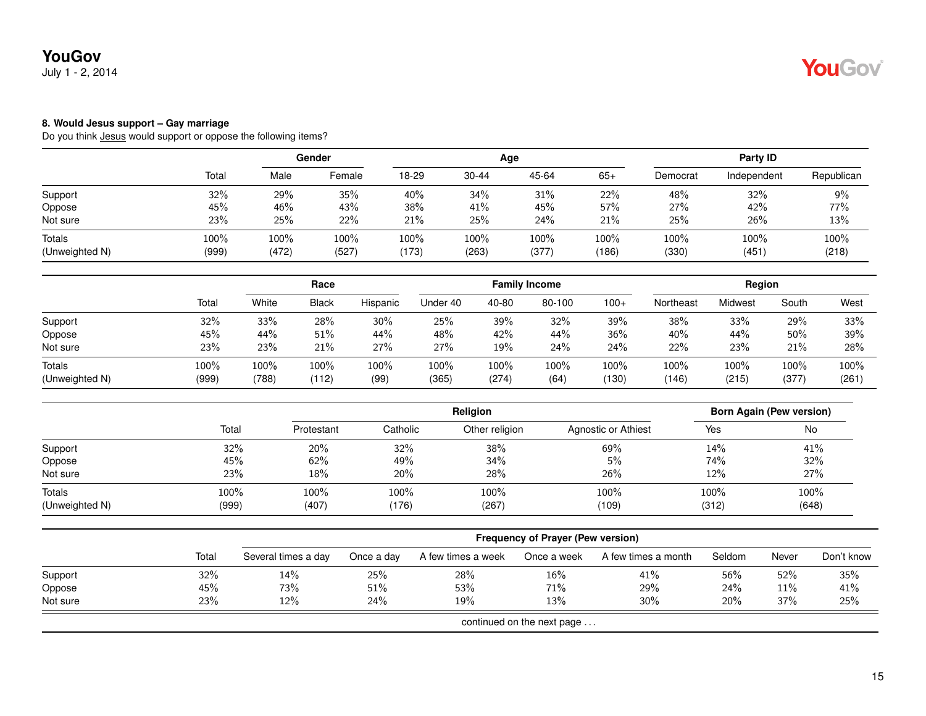July 1 - 2, 2014

### **8. Would Jesus support – Gay marriage**

|                          |               |                  | Gender<br>Age |                  |               |               | Party ID         |               |               |               |
|--------------------------|---------------|------------------|---------------|------------------|---------------|---------------|------------------|---------------|---------------|---------------|
|                          | Total         | Male             | Female        | 18-29            | 30-44         | 45-64         | $65+$            | Democrat      | Independent   | Republican    |
| Support                  | 32%           | 29%              | 35%           | 40%              | 34%           | 31%           | 22%              | 48%           | 32%           | 9%            |
| Oppose                   | 45%           | 46%              | 43%           | 38%              | 41%           | 45%           | 57%              | 27%           | 42%           | 77%           |
| Not sure                 | 23%           | 25%              | 22%           | 21%              | 25%           | 24%           | 21%              | 25%           | 26%           | 13%           |
| Totals<br>(Unweighted N) | 100%<br>(999) | $100\%$<br>(472) | 100%<br>(527) | $100\%$<br>(173) | 100%<br>(263) | 100%<br>(377) | $100\%$<br>(186) | 100%<br>(330) | 100%<br>(451) | 100%<br>(218) |

|                |       |       | Race         |          |          |         | <b>Family Income</b> |        |           | Region  |       |       |
|----------------|-------|-------|--------------|----------|----------|---------|----------------------|--------|-----------|---------|-------|-------|
|                | Total | White | <b>Black</b> | Hispanic | Under 40 | 40-80   | 80-100               | $100+$ | Northeast | Midwest | South | West  |
| Support        | 32%   | 33%   | 28%          | $30\%$   | 25%      | 39%     | 32%                  | 39%    | 38%       | 33%     | 29%   | 33%   |
| Oppose         | 45%   | 44%   | 51%          | 44%      | 48%      | 42%     | 44%                  | 36%    | 40%       | 44%     | 50%   | 39%   |
| Not sure       | 23%   | 23%   | 21%          | 27%      | 27%      | 19%     | 24%                  | 24%    | 22%       | 23%     | 21%   | 28%   |
| <b>Totals</b>  | 100%  | 100%  | 100%         | 100%     | 100%     | $100\%$ | 100%                 | 100%   | 100%      | 100%    | 100%  | 100%  |
| (Unweighted N) | (999) | (788) | (112)        | (99)     | (365)    | (274)   | (64)                 | (130)  | (146)     | (215)   | (377) | (261) |

|                          |               |               |               | <b>Born Again (Pew version)</b> |                     |               |               |
|--------------------------|---------------|---------------|---------------|---------------------------------|---------------------|---------------|---------------|
|                          | Total         | Protestant    | Catholic      | Other religion                  | Agnostic or Athiest | Yes           | No            |
| Support                  | 32%           | 20%           | 32%           | 38%                             | 69%                 | 14%           | 41%           |
| Oppose                   | 45%           | 62%           | 49%           | 34%                             | 5%                  | 74%           | 32%           |
| Not sure                 | 23%           | 18%           | 20%           | 28%                             | 26%                 | 12%           | 27%           |
| Totals<br>(Unweighted N) | 100%<br>(999) | 100%<br>(407) | 100%<br>(176) | 100%<br>(267)                   | 100%<br>(109)       | 100%<br>(312) | 100%<br>(648) |

|                            |       | <b>Frequency of Prayer (Pew version)</b> |            |                    |             |                     |        |        |            |  |  |  |
|----------------------------|-------|------------------------------------------|------------|--------------------|-------------|---------------------|--------|--------|------------|--|--|--|
|                            | Total | Several times a day                      | Once a day | A few times a week | Once a week | A few times a month | Seldom | Never  | Don't know |  |  |  |
| Support                    | 32%   | 14%                                      | 25%        | 28%                | 16%         | 41%                 | 56%    | $52\%$ | 35%        |  |  |  |
| Oppose                     | 45%   | 73%                                      | 51%        | 53%                | 71%         | 29%                 | 24%    | $11\%$ | 41%        |  |  |  |
| Not sure                   | 23%   | $12\%$                                   | 24%        | 19%                | 13%         | 30%                 | 20%    | 37%    | 25%        |  |  |  |
| continued on the next page |       |                                          |            |                    |             |                     |        |        |            |  |  |  |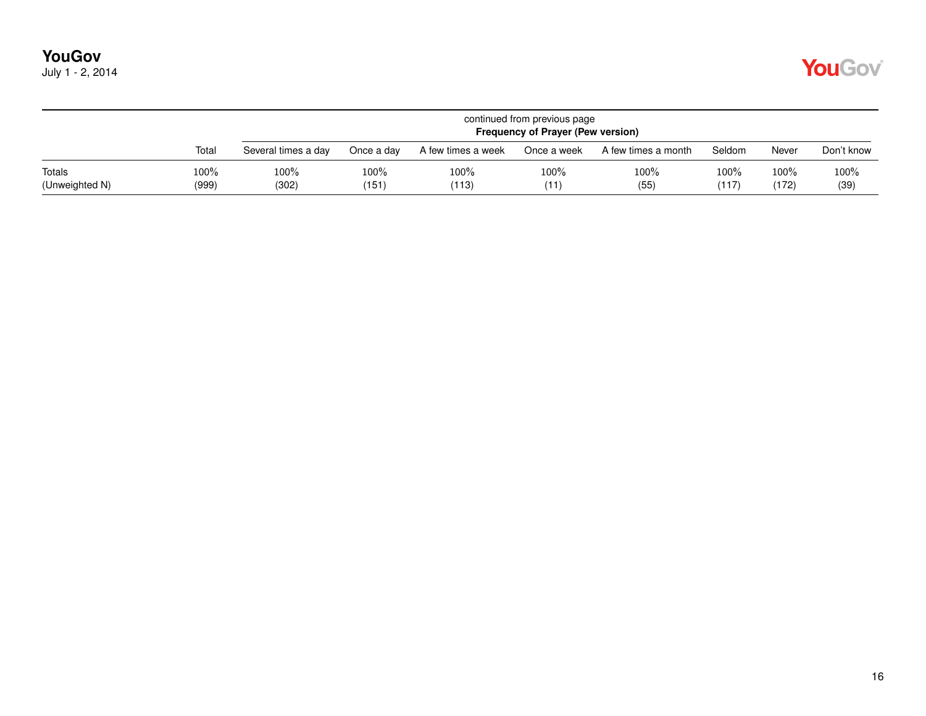| July 1 - 2, 2014 |  |  |  |
|------------------|--|--|--|
|------------------|--|--|--|

|                          |                  |                     | continued from previous page<br>Frequency of Prayer (Pew version) |                    |              |                     |                  |                  |              |  |  |  |  |
|--------------------------|------------------|---------------------|-------------------------------------------------------------------|--------------------|--------------|---------------------|------------------|------------------|--------------|--|--|--|--|
|                          | Total            | Several times a day | Once a day                                                        | A few times a week | Once a week  | A few times a month | Seldom           | Never            | Don't know   |  |  |  |  |
| Totals<br>(Unweighted N) | $100\%$<br>(999) | 100%<br>(302)       | $100\%$<br>(151)                                                  | 100%<br>(113)      | 100%<br>(11) | 100%<br>(55)        | $100\%$<br>(117) | $100\%$<br>(172) | 100%<br>(39) |  |  |  |  |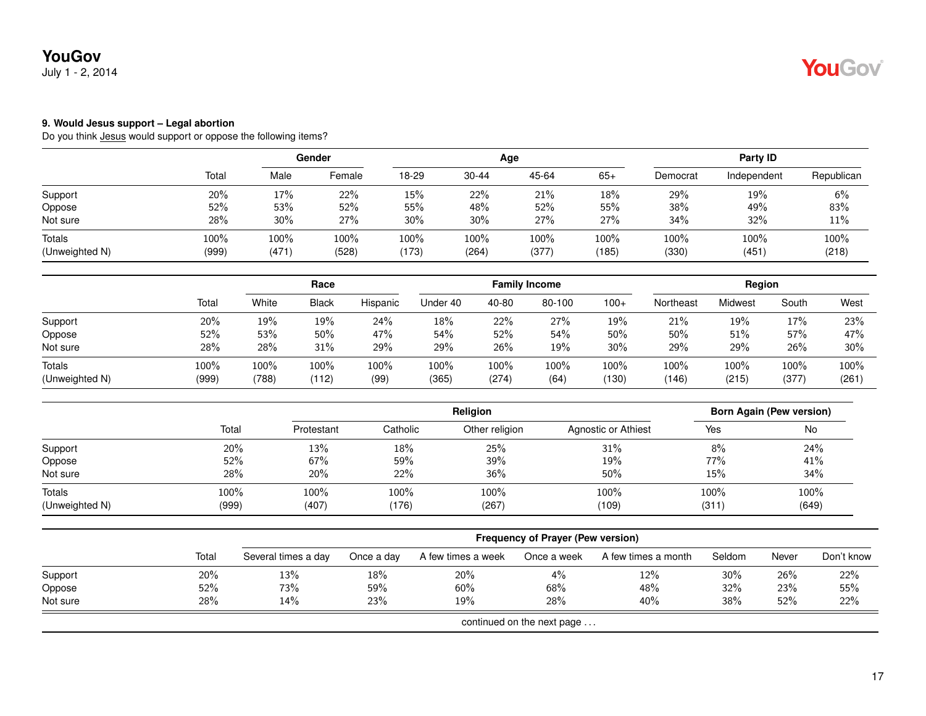July 1 - 2, 2014

#### **9. Would Jesus support – Legal abortion**

|                          |               |               | Gender<br>Age |               |               |               | Party ID      |               |               |               |
|--------------------------|---------------|---------------|---------------|---------------|---------------|---------------|---------------|---------------|---------------|---------------|
|                          | Total         | Male          | Female        | 18-29         | 30-44         | 45-64         | $65+$         | Democrat      | Independent   | Republican    |
| Support                  | 20%           | 17%           | 22%           | 15%           | 22%           | 21%           | 18%           | 29%           | 19%           | 6%            |
| Oppose                   | 52%           | 53%           | 52%           | 55%           | 48%           | 52%           | 55%           | 38%           | 49%           | 83%           |
| Not sure                 | 28%           | $30\%$        | 27%           | 30%           | 30%           | 27%           | 27%           | 34%           | 32%           | 11%           |
| Totals<br>(Unweighted N) | 100%<br>(999) | 100%<br>(471) | 100%<br>(528) | 100%<br>(173) | 100%<br>(264) | 100%<br>(377) | 100%<br>(185) | 100%<br>(330) | 100%<br>(451) | 100%<br>(218) |

|                |       |       | Race         |          |          |       | <b>Family Income</b> |         |           | Region  |         |       |
|----------------|-------|-------|--------------|----------|----------|-------|----------------------|---------|-----------|---------|---------|-------|
|                | Total | White | <b>Black</b> | Hispanic | Under 40 | 40-80 | 80-100               | $100+$  | Northeast | Midwest | South   | West  |
| Support        | 20%   | 19%   | 19%          | 24%      | 18%      | 22%   | 27%                  | 19%     | 21%       | 19%     | 17%     | 23%   |
| Oppose         | 52%   | 53%   | 50%          | 47%      | 54%      | 52%   | 54%                  | 50%     | 50%       | 51%     | 57%     | 47%   |
| Not sure       | 28%   | 28%   | 31%          | 29%      | 29%      | 26%   | 19%                  | 30%     | 29%       | 29%     | 26%     | 30%   |
| Totals         | 100%  | 100%  | $100\%$      | 100%     | 100%     | 100%  | $100\%$              | $100\%$ | 100%      | 100%    | $100\%$ | 100%  |
| (Unweighted N) | (999) | (788) | (112)        | (99)     | (365)    | (274) | (64)                 | (130)   | (146)     | (215)   | (377)   | (261) |

|                |       | <b>Religion</b> |          |                |                     |       | <b>Born Again (Pew version)</b> |
|----------------|-------|-----------------|----------|----------------|---------------------|-------|---------------------------------|
|                | Total | Protestant      | Catholic | Other religion | Agnostic or Athiest | Yes   | No                              |
| Support        | 20%   | 13%             | 18%      | 25%            | 31%                 | 8%    | 24%                             |
| Oppose         | 52%   | 67%             | 59%      | 39%            | 19%                 | 77%   | 41%                             |
| Not sure       | 28%   | 20%             | 22%      | 36%            | 50%                 | 15%   | 34%                             |
| Totals         | 100%  | 100%            | 100%     | 100%           | 100%                | 100%  | 100%                            |
| (Unweighted N) | (999) | (407)           | (176)    | (267)          | (109)               | (311) | (649)                           |

|          |       | <b>Frequency of Prayer (Pew version)</b> |            |                    |                            |                     |        |       |            |  |  |  |  |
|----------|-------|------------------------------------------|------------|--------------------|----------------------------|---------------------|--------|-------|------------|--|--|--|--|
|          | Total | Several times a day                      | Once a day | A few times a week | Once a week                | A few times a month | Seldom | Never | Don't know |  |  |  |  |
| Support  | 20%   | 13%                                      | 18%        | 20%                | 4%                         | 12%                 | $30\%$ | 26%   | 22%        |  |  |  |  |
| Oppose   | 52%   | 73%                                      | 59%        | 60%                | 68%                        | 48%                 | 32%    | 23%   | 55%        |  |  |  |  |
| Not sure | 28%   | 14%                                      | 23%        | 19%                | <b>28%</b>                 | 40%                 | 38%    | 52%   | 22%        |  |  |  |  |
|          |       |                                          |            |                    | continued on the next page |                     |        |       |            |  |  |  |  |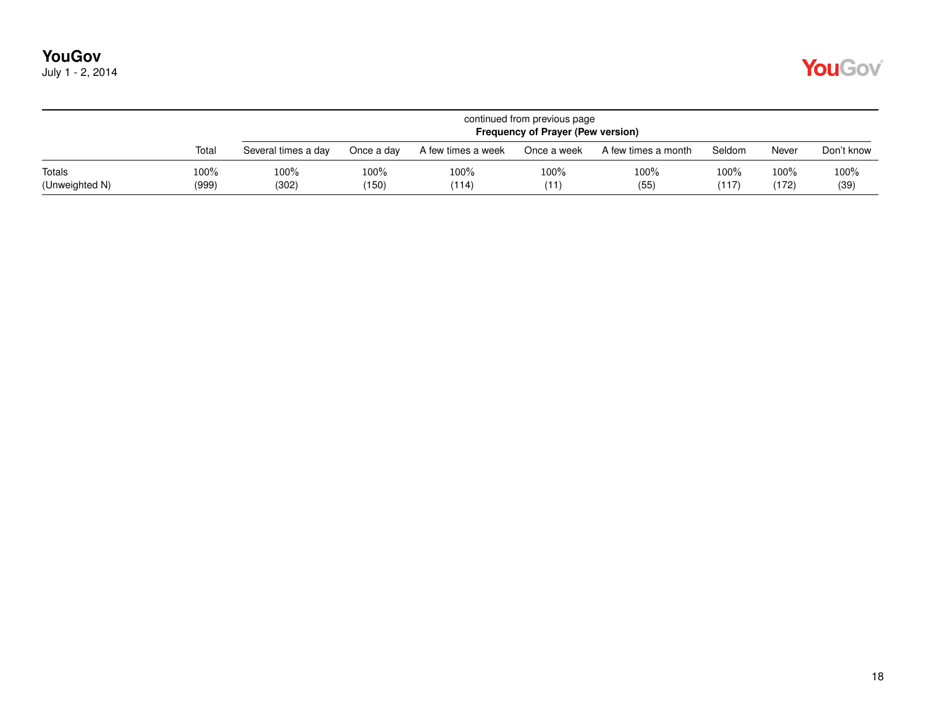| July 1 - 2, 2014 |  |  |  |
|------------------|--|--|--|
|------------------|--|--|--|

|                          |               |                     | continued from previous page<br><b>Frequency of Prayer (Pew version)</b> |                    |              |                     |               |               |              |  |  |  |  |
|--------------------------|---------------|---------------------|--------------------------------------------------------------------------|--------------------|--------------|---------------------|---------------|---------------|--------------|--|--|--|--|
|                          | Total         | Several times a day | Once a dav                                                               | A few times a week | Once a week  | A few times a month | Seldom        | Never         | Don't know   |  |  |  |  |
| Totals<br>(Unweighted N) | 100%<br>(999) | 100%<br>(302)       | $100\%$<br>(150)                                                         | 100%<br>(114)      | 100%<br>(11) | 100%<br>(55)        | 100%<br>(117) | 100%<br>(172) | 100%<br>(39) |  |  |  |  |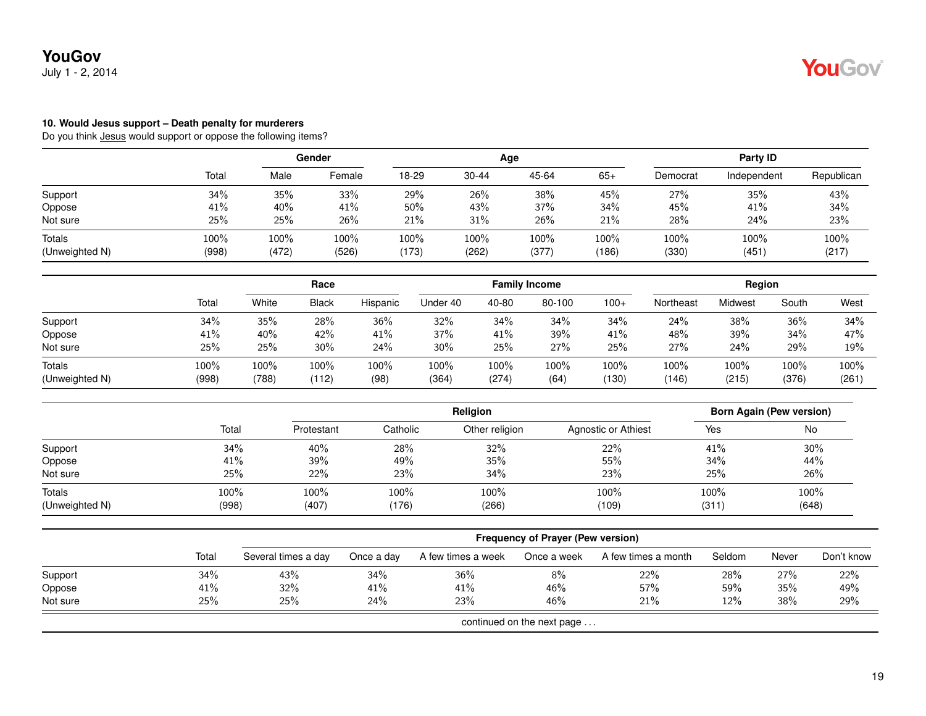July 1 - 2, 2014

#### **10. Would Jesus support – Death penalty for murderers**

|                          |               |               | Gender        |               |                  | Age           |               |               | Party ID     |               |  |
|--------------------------|---------------|---------------|---------------|---------------|------------------|---------------|---------------|---------------|--------------|---------------|--|
|                          | Total         | Male          | Female        | 18-29         | 30-44            | 45-64         | $65+$         | Democrat      | Independent  | Republican    |  |
| Support                  | 34%           | 35%           | 33%           | 29%           | 26%              | 38%           | 45%           | 27%           | 35%          | 43%           |  |
| Oppose                   | 41%           | 40%           | 41%           | 50%           | 43%              | 37%           | 34%           | 45%           | 41%          | 34%           |  |
| Not sure                 | 25%           | 25%           | 26%           | 21%           | 31%              | 26%           | 21%           | 28%           | 24%          | 23%           |  |
| Totals<br>(Unweighted N) | 100%<br>(998) | 100%<br>(472) | 100%<br>(526) | 100%<br>(173) | $100\%$<br>(262) | 100%<br>(377) | 100%<br>(186) | 100%<br>(330) | 100%<br>(451 | 100%<br>(217) |  |

|                |       |       | Race         |          |          |         | <b>Family Income</b> |        |           | Region  |       |       |
|----------------|-------|-------|--------------|----------|----------|---------|----------------------|--------|-----------|---------|-------|-------|
|                | Total | White | <b>Black</b> | Hispanic | Under 40 | 40-80   | 80-100               | $100+$ | Northeast | Midwest | South | West  |
| Support        | 34%   | 35%   | 28%          | 36%      | 32%      | 34%     | 34%                  | 34%    | 24%       | 38%     | 36%   | 34%   |
| Oppose         | 41%   | 40%   | 42%          | 41%      | 37%      | 41%     | 39%                  | 41%    | 48%       | 39%     | 34%   | 47%   |
| Not sure       | 25%   | 25%   | 30%          | 24%      | 30%      | 25%     | 27%                  | 25%    | 27%       | 24%     | 29%   | 19%   |
| Totals         | 100%  | 100%  | 100%         | 100%     | 100%     | $100\%$ | 100%                 | 100%   | 100%      | 100%    | 100%  | 100%  |
| (Unweighted N) | (998) | (788) | (112)        | (98)     | (364)    | (274)   | (64)                 | (130)  | (146)     | (215)   | (376) | (261) |

|                |       |            |          | <b>Born Again (Pew version)</b> |                     |       |       |
|----------------|-------|------------|----------|---------------------------------|---------------------|-------|-------|
|                | Total | Protestant | Catholic | Other religion                  | Agnostic or Athiest | Yes   | No    |
| Support        | 34%   | 40%        | 28%      | 32%                             | 22%                 | 41%   | 30%   |
| Oppose         | 41%   | 39%        | 49%      | 35%                             | 55%                 | 34%   | 44%   |
| Not sure       | 25%   | 22%        | 23%      | 34%                             | 23%                 | 25%   | 26%   |
| Totals         | 100%  | 100%       | 100%     | 100%                            | 100%                | 100%  | 100%  |
| (Unweighted N) | (998) | (407)      | (176)    | (266)                           | (109)               | (311) | (648) |

|                            |       |                     |            |                    | <b>Frequency of Prayer (Pew version)</b> |                     |        |       |            |
|----------------------------|-------|---------------------|------------|--------------------|------------------------------------------|---------------------|--------|-------|------------|
|                            | Total | Several times a day | Once a day | A few times a week | Once a week                              | A few times a month | Seldom | Never | Don't know |
| Support                    | 34%   | 43%                 | 34%        | 36%                | 8%                                       | 22%                 | 28%    | 27%   | 22%        |
| Oppose                     | 41%   | $32\%$              | 41%        | 41%                | 46%                                      | 57%                 | 59%    | 35%   | 49%        |
| Not sure                   | 25%   | 25%                 | 24%        | 23%                | 46%                                      | 21%                 | 12%    | 38%   | 29%        |
| continued on the next page |       |                     |            |                    |                                          |                     |        |       |            |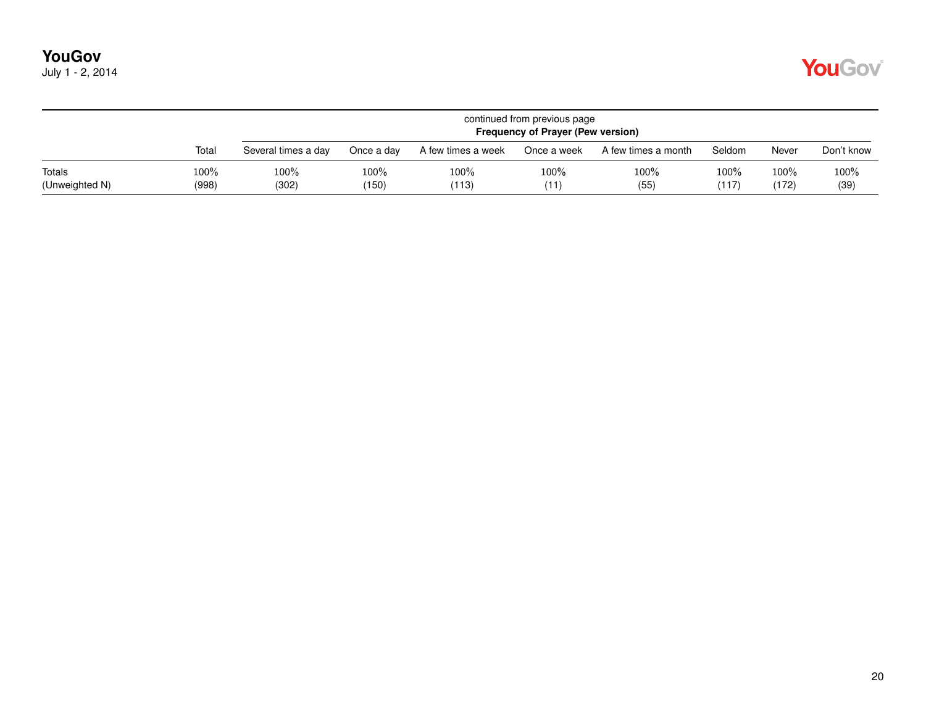| July 1 - 2, 2014 |  |  |  |
|------------------|--|--|--|
|------------------|--|--|--|

|                          |               |                     | continued from previous page<br><b>Frequency of Prayer (Pew version)</b> |                    |              |                     |               |                  |              |  |  |  |  |
|--------------------------|---------------|---------------------|--------------------------------------------------------------------------|--------------------|--------------|---------------------|---------------|------------------|--------------|--|--|--|--|
|                          | Total         | Several times a day | Once a day                                                               | A few times a week | Once a week  | A few times a month | Seldom        | Never            | Don't know   |  |  |  |  |
| Totals<br>(Unweighted N) | 100%<br>(998) | 100%<br>(302)       | $100\%$<br>(150)                                                         | 100%<br>(113)      | 100%<br>(11) | 100%<br>(55)        | 100%<br>(117) | $100\%$<br>(172) | 100%<br>(39) |  |  |  |  |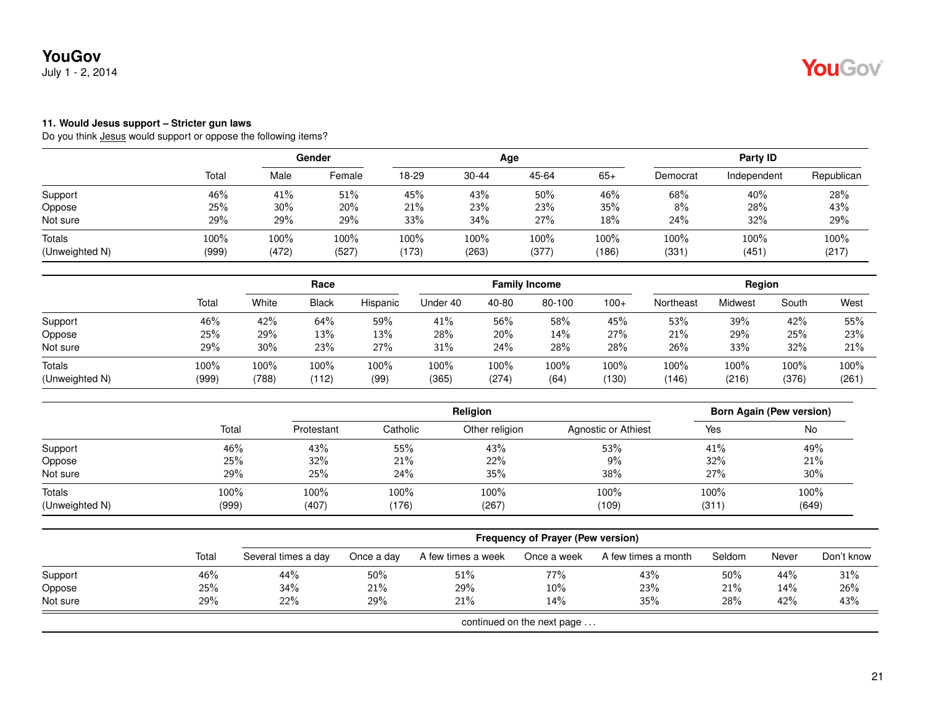July 1 - 2, 2014

#### **11. Would Jesus support – Stricter gun laws**

|                          |               |               | Gender        |                  |               | Age           |                  |               | Party ID      |               |
|--------------------------|---------------|---------------|---------------|------------------|---------------|---------------|------------------|---------------|---------------|---------------|
|                          | Total         | Male          | Female        | 18-29            | $30 - 44$     | 45-64         | $65+$            | Democrat      | Independent   | Republican    |
| Support                  | 46%           | 41%           | 51%           | 45%              | 43%           | 50%           | 46%              | 68%           | 40%           | 28%           |
| Oppose                   | 25%           | 30%           | 20%           | 21%              | 23%           | 23%           | 35%              | 8%            | 28%           | 43%           |
| Not sure                 | 29%           | 29%           | 29%           | 33%              | 34%           | 27%           | 18%              | 24%           | 32%           | 29%           |
| Totals<br>(Unweighted N) | 100%<br>(999) | 100%<br>(472) | 100%<br>(527) | $100\%$<br>(173) | 100%<br>(263) | 100%<br>(377) | $100\%$<br>(186) | 100%<br>(331) | 100%<br>(451) | 100%<br>(217) |

|                          |               |               | Race          |              |               | <b>Family Income</b> |              |               |               | Region        |               |               |  |
|--------------------------|---------------|---------------|---------------|--------------|---------------|----------------------|--------------|---------------|---------------|---------------|---------------|---------------|--|
|                          | Total         | White         | <b>Black</b>  | Hispanic     | Under 40      | 40-80                | 80-100       | $100+$        | Northeast     | Midwest       | South         | West          |  |
| Support                  | 46%           | 42%           | 64%           | 59%          | 41%           | 56%                  | 58%          | 45%           | 53%           | 39%           | 42%           | 55%           |  |
| Oppose                   | 25%           | 29%           | 13%           | 13%          | 28%           | 20%                  | 14%          | 27%           | 21%           | 29%           | 25%           | 23%           |  |
| Not sure                 | 29%           | 30%           | 23%           | 27%          | 31%           | 24%                  | 28%          | 28%           | 26%           | 33%           | 32%           | 21%           |  |
| Totals<br>(Unweighted N) | 100%<br>(999) | 100%<br>(788) | 100%<br>(112) | 100%<br>(99) | 100%<br>(365) | 100%<br>(274)        | 100%<br>(64) | 100%<br>(130) | 100%<br>(146) | 100%<br>(216) | 100%<br>(376) | 100%<br>(261) |  |

|                |       |            |          |                | <b>Born Again (Pew version)</b> |       |       |
|----------------|-------|------------|----------|----------------|---------------------------------|-------|-------|
|                | Total | Protestant | Catholic | Other religion | Agnostic or Athiest             | Yes   | No    |
| Support        | 46%   | 43%        | 55%      | 43%            | 53%                             | 41%   | 49%   |
| Oppose         | 25%   | 32%        | 21%      | 22%            | 9%                              | 32%   | 21%   |
| Not sure       | 29%   | 25%        | 24%      | 35%            | 38%                             | 27%   | 30%   |
| Totals         | 100%  | 100%       | 100%     | 100%           | 100%                            | 100%  | 100%  |
| (Unweighted N) | (999) | (407)      | (176)    | (267)          | (109)                           | (311) | (649) |

|          |       | <b>Frequency of Prayer (Pew version)</b> |            |                    |                            |                     |        |       |            |  |  |  |  |
|----------|-------|------------------------------------------|------------|--------------------|----------------------------|---------------------|--------|-------|------------|--|--|--|--|
|          | Total | Several times a day                      | Once a day | A few times a week | Once a week                | A few times a month | Seldom | Never | Don't know |  |  |  |  |
| Support  | 46%   | 44%                                      | 50%        | 51%                | 77%                        | 43%                 | 50%    | 44%   | 31%        |  |  |  |  |
| Oppose   | 25%   | 34%                                      | 21%        | 29%                | 10%                        | 23%                 | 21%    | 14%   | 26%        |  |  |  |  |
| Not sure | 29%   | 22%                                      | 29%        | 21%                | 14%                        | 35%                 | 28%    | 42%   | 43%        |  |  |  |  |
|          |       |                                          |            |                    | continued on the next page |                     |        |       |            |  |  |  |  |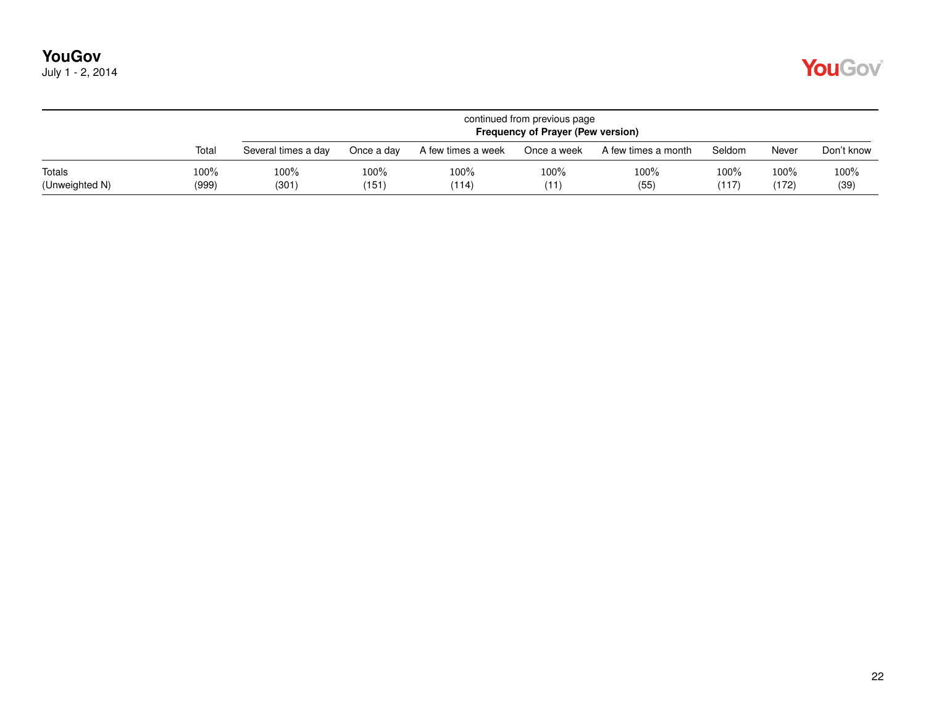| July 1 - 2, 2014 |  |  |  |
|------------------|--|--|--|
|------------------|--|--|--|

|                          |                  | continued from previous page<br><b>Frequency of Prayer (Pew version)</b> |                  |                    |              |                     |               |               |              |  |  |  |  |
|--------------------------|------------------|--------------------------------------------------------------------------|------------------|--------------------|--------------|---------------------|---------------|---------------|--------------|--|--|--|--|
|                          | Total            | Several times a day                                                      | Once a day       | A few times a week | Once a week  | A few times a month | Seldom        | Never         | Don't know   |  |  |  |  |
| Totals<br>(Unweighted N) | $100\%$<br>(999) | 100%<br>(301)                                                            | $100\%$<br>(151) | $100\%$<br>(114)   | 100%<br>(11) | 100%<br>(55)        | 100%<br>(117) | 100%<br>(172) | 100%<br>(39) |  |  |  |  |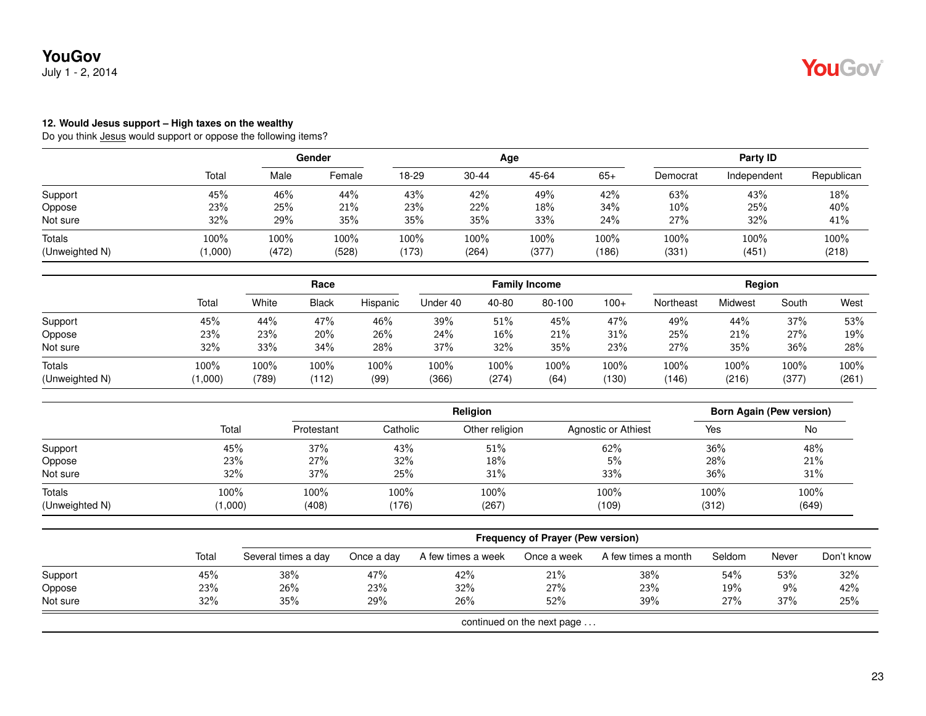July 1 - 2, 2014

### **12. Would Jesus support – High taxes on the wealthy**

|                          |                 |                  | Gender        |                  |               | Age           | Party ID         |               |               |               |
|--------------------------|-----------------|------------------|---------------|------------------|---------------|---------------|------------------|---------------|---------------|---------------|
|                          | Total           | Male             | Female        | 18-29            | 30-44         | 45-64         | $65+$            | Democrat      | Independent   | Republican    |
| Support                  | 45%             | 46%              | 44%           | 43%              | 42%           | 49%           | 42%              | 63%           | 43%           | 18%           |
| Oppose                   | 23%             | 25%              | 21%           | 23%              | 22%           | 18%           | 34%              | $10\%$        | 25%           | 40%           |
| Not sure                 | 32%             | 29%              | 35%           | 35%              | 35%           | 33%           | 24%              | 27%           | 32%           | 41%           |
| Totals<br>(Unweighted N) | 100%<br>(1,000) | $100\%$<br>(472) | 100%<br>(528) | $100\%$<br>(173) | 100%<br>(264) | 100%<br>(377) | $100\%$<br>(186) | 100%<br>(331) | 100%<br>(451) | 100%<br>(218) |

|                |         | Race  |              |          | <b>Family Income</b> |         |        |        | Region    |         |       |       |
|----------------|---------|-------|--------------|----------|----------------------|---------|--------|--------|-----------|---------|-------|-------|
|                | Total   | White | <b>Black</b> | Hispanic | Under 40             | 40-80   | 80-100 | $100+$ | Northeast | Midwest | South | West  |
| Support        | 45%     | 44%   | 47%          | 46%      | 39%                  | 51%     | 45%    | 47%    | 49%       | 44%     | 37%   | 53%   |
| Oppose         | 23%     | 23%   | 20%          | 26%      | 24%                  | 16%     | 21%    | 31%    | 25%       | 21%     | 27%   | 19%   |
| Not sure       | 32%     | 33%   | 34%          | 28%      | 37%                  | 32%     | 35%    | 23%    | 27%       | 35%     | 36%   | 28%   |
| <b>Totals</b>  | 100%    | 100%  | 100%         | 100%     | 100%                 | $100\%$ | 100%   | 100%   | 100%      | 100%    | 100%  | 100%  |
| (Unweighted N) | (1,000) | (789) | (112)        | (99)     | (366)                | (274)   | (64)   | (130)  | (146)     | (216)   | (377) | (261) |

|                |         |            |          | <b>Born Again (Pew version)</b> |                     |       |       |
|----------------|---------|------------|----------|---------------------------------|---------------------|-------|-------|
|                | Total   | Protestant | Catholic | Other religion                  | Agnostic or Athiest | Yes   | No    |
| Support        | 45%     | 37%        | 43%      | 51%                             | 62%                 | 36%   | 48%   |
| Oppose         | 23%     | 27%        | 32%      | 18%                             | 5%                  | 28%   | 21%   |
| Not sure       | 32%     | 37%        | 25%      | 31%                             | 33%                 | 36%   | 31%   |
| Totals         | 100%    | 100%       | 100%     | 100%                            | 100%                | 100%  | 100%  |
| (Unweighted N) | (1,000) | (408)      | (176)    | (267)                           | (109)               | (312) | (649) |

|          |       |                     | <b>Frequency of Prayer (Pew version)</b> |                    |                            |                     |        |       |            |  |  |  |  |  |
|----------|-------|---------------------|------------------------------------------|--------------------|----------------------------|---------------------|--------|-------|------------|--|--|--|--|--|
|          | Total | Several times a day | Once a day                               | A few times a week | Once a week                | A few times a month | Seldom | Never | Don't know |  |  |  |  |  |
| Support  | 45%   | 38%                 | 47%                                      | 42%                | 21%                        | 38%                 | 54%    | 53%   | 32%        |  |  |  |  |  |
| Oppose   | 23%   | 26%                 | 23%                                      | 32%                | 27%                        | 23%                 | 19%    | 9%    | 42%        |  |  |  |  |  |
| Not sure | 32%   | 35%                 | 29%                                      | 26%                | 52%                        | 39%                 | 27%    | 37%   | 25%        |  |  |  |  |  |
|          |       |                     |                                          |                    | continued on the next page |                     |        |       |            |  |  |  |  |  |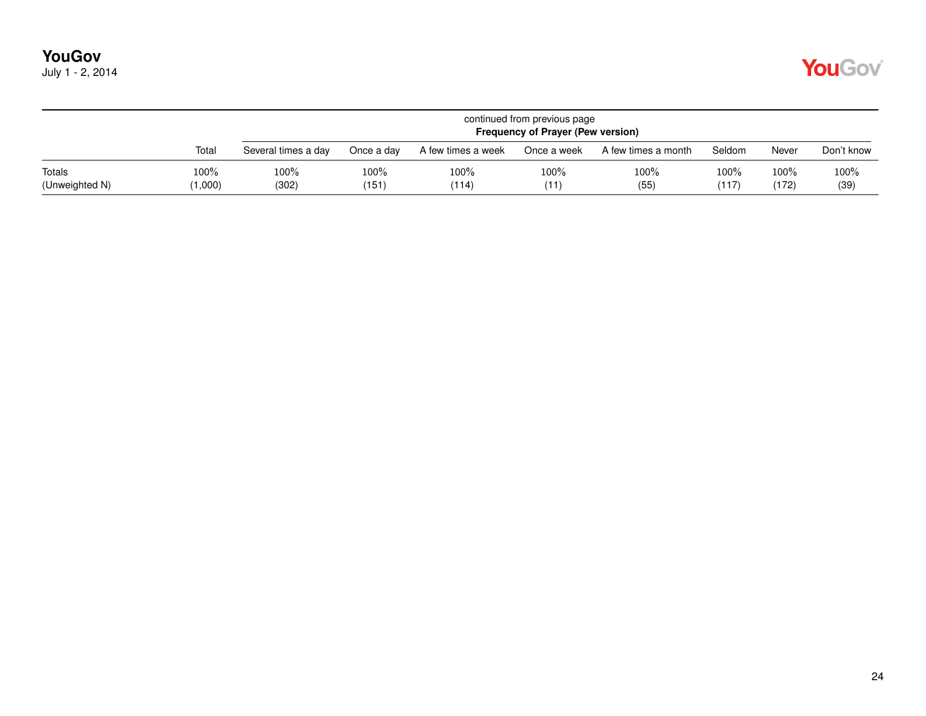|                          |                 | continued from previous page<br><b>Frequency of Prayer (Pew version)</b> |               |                    |              |                     |                  |               |              |  |  |  |  |  |
|--------------------------|-----------------|--------------------------------------------------------------------------|---------------|--------------------|--------------|---------------------|------------------|---------------|--------------|--|--|--|--|--|
|                          | Total           | Several times a day                                                      | Once a day    | A few times a week | Once a week  | A few times a month | Seldom           | Never         | Don't know   |  |  |  |  |  |
| Totals<br>(Unweighted N) | 100%<br>(1,000) | 100%<br>(302)                                                            | 100%<br>(151) | 100%<br>(114)      | 100%<br>(11) | 100%<br>(55)        | $100\%$<br>(117) | 100%<br>(172) | 100%<br>(39) |  |  |  |  |  |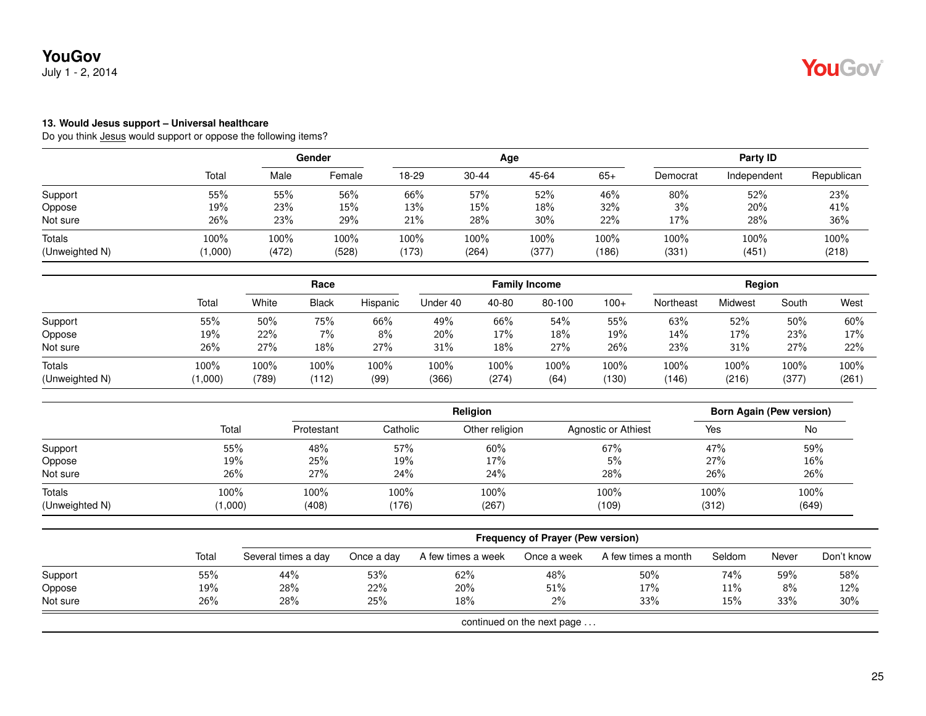July 1 - 2, 2014

#### **13. Would Jesus support – Universal healthcare**

|                          |                 |                  | Gender        |                  | Age           |               |                  |               | Party ID      |               |  |  |
|--------------------------|-----------------|------------------|---------------|------------------|---------------|---------------|------------------|---------------|---------------|---------------|--|--|
|                          | Total           | Male             | Female        | 18-29            | 30-44         | 45-64         | $65+$            | Democrat      | Independent   | Republican    |  |  |
| Support                  | 55%             | 55%              | 56%           | 66%              | 57%           | 52%           | 46%              | 80%           | 52%           | 23%           |  |  |
| Oppose                   | 19%             | 23%              | 15%           | 13%              | 15%           | 18%           | 32%              | 3%            | 20%           | 41%           |  |  |
| Not sure                 | 26%             | 23%              | 29%           | 21%              | 28%           | 30%           | 22%              | 17%           | 28%           | 36%           |  |  |
| Totals<br>(Unweighted N) | 100%<br>(1,000) | $100\%$<br>(472) | 100%<br>(528) | $100\%$<br>(173) | 100%<br>(264) | 100%<br>(377) | $100\%$<br>(186) | 100%<br>(331) | 100%<br>(451) | 100%<br>(218) |  |  |

|                |         |       | Race         |          |          | <b>Family Income</b> |        |        |           | Region  |       |       |
|----------------|---------|-------|--------------|----------|----------|----------------------|--------|--------|-----------|---------|-------|-------|
|                | Total   | White | <b>Black</b> | Hispanic | Under 40 | 40-80                | 80-100 | $100+$ | Northeast | Midwest | South | West  |
| Support        | 55%     | 50%   | 75%          | 66%      | 49%      | 66%                  | 54%    | 55%    | 63%       | 52%     | 50%   | 60%   |
| Oppose         | 19%     | 22%   | $7\%$        | 8%       | 20%      | 17%                  | 18%    | 19%    | 14%       | 17%     | 23%   | 17%   |
| Not sure       | 26%     | 27%   | 18%          | 27%      | 31%      | 18%                  | 27%    | 26%    | 23%       | 31%     | 27%   | 22%   |
| Totals         | 100%    | 100%  | 100%         | 100%     | 100%     | $100\%$              | 100%   | 100%   | 100%      | 100%    | 100%  | 100%  |
| (Unweighted N) | (1,000) | (789) | (112)        | (99)     | (366)    | (274)                | (64)   | (130)  | (146)     | (216)   | (377) | (261) |

|                |         |            | Religion |                |                     |       | Born Again (Pew version) |  |  |
|----------------|---------|------------|----------|----------------|---------------------|-------|--------------------------|--|--|
|                | Total   | Protestant | Catholic | Other religion | Agnostic or Athiest | Yes   | No                       |  |  |
| Support        | 55%     | 48%        | 57%      | 60%            | 67%                 | 47%   | 59%                      |  |  |
| Oppose         | 19%     | 25%        | 19%      | 17%            | 5%                  | 27%   | 16%                      |  |  |
| Not sure       | 26%     | 27%        | 24%      | 24%            | 28%                 | 26%   | 26%                      |  |  |
| Totals         | 100%    | 100%       | 100%     | 100%           | 100%                | 100%  | 100%                     |  |  |
| (Unweighted N) | (1,000) | (408)      | (176)    | (267)          | (109)               | (312) | (649)                    |  |  |

|          |       | Frequency of Prayer (Pew version) |            |                    |                            |                     |        |       |            |  |  |
|----------|-------|-----------------------------------|------------|--------------------|----------------------------|---------------------|--------|-------|------------|--|--|
|          | Total | Several times a day               | Once a day | A few times a week | Once a week                | A few times a month | Seldom | Never | Don't know |  |  |
| Support  | 55%   | 44%                               | 53%        | 62%                | 48%                        | 50%                 | 74%    | 59%   | 58%        |  |  |
| Oppose   | 19%   | 28%                               | 22%        | 20%                | 51%                        | 17%                 | 11%    | 8%    | 12%        |  |  |
| Not sure | 26%   | 28%                               | 25%        | 18%                | 2%                         | 33%                 | 15%    | 33%   | $30\%$     |  |  |
|          |       |                                   |            |                    | continued on the next page |                     |        |       |            |  |  |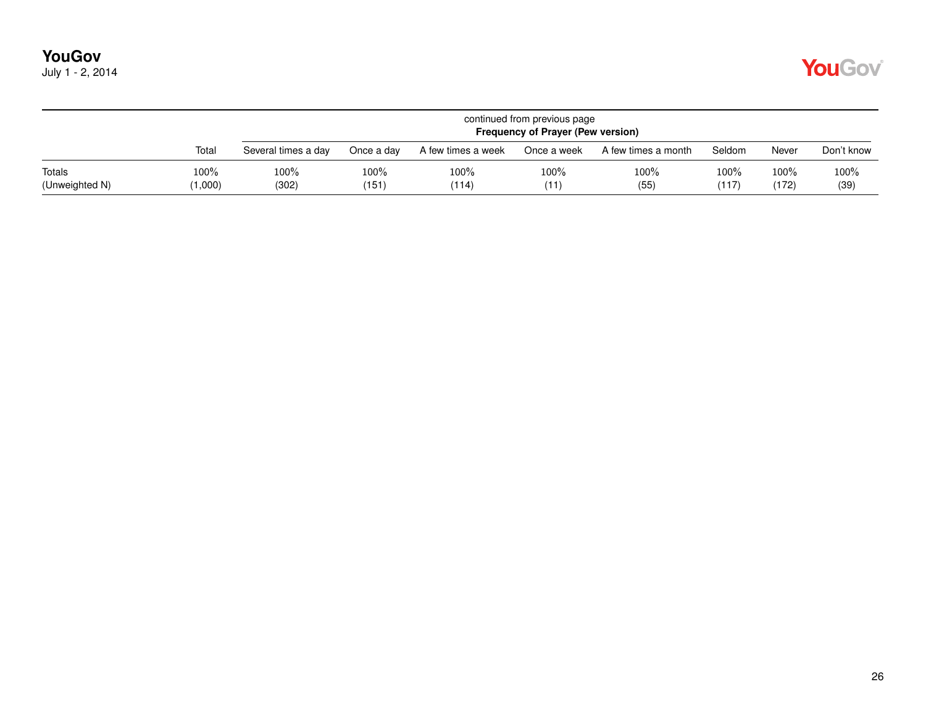|  | July 1 - 2, 2014 |
|--|------------------|
|--|------------------|

|                          |                 | continued from previous page<br><b>Frequency of Prayer (Pew version)</b> |                  |                    |              |                     |               |               |              |  |  |
|--------------------------|-----------------|--------------------------------------------------------------------------|------------------|--------------------|--------------|---------------------|---------------|---------------|--------------|--|--|
|                          | Total           | Several times a day                                                      | Once a dav       | A few times a week | Once a week  | A few times a month | Seldom        | Never         | Don't know   |  |  |
| Totals<br>(Unweighted N) | 100%<br>(1,000) | 100%<br>(302)                                                            | $100\%$<br>(151) | 100%<br>(114)      | 100%<br>(11) | 100%<br>(55)        | 100%<br>(117) | 100%<br>(172) | 100%<br>(39) |  |  |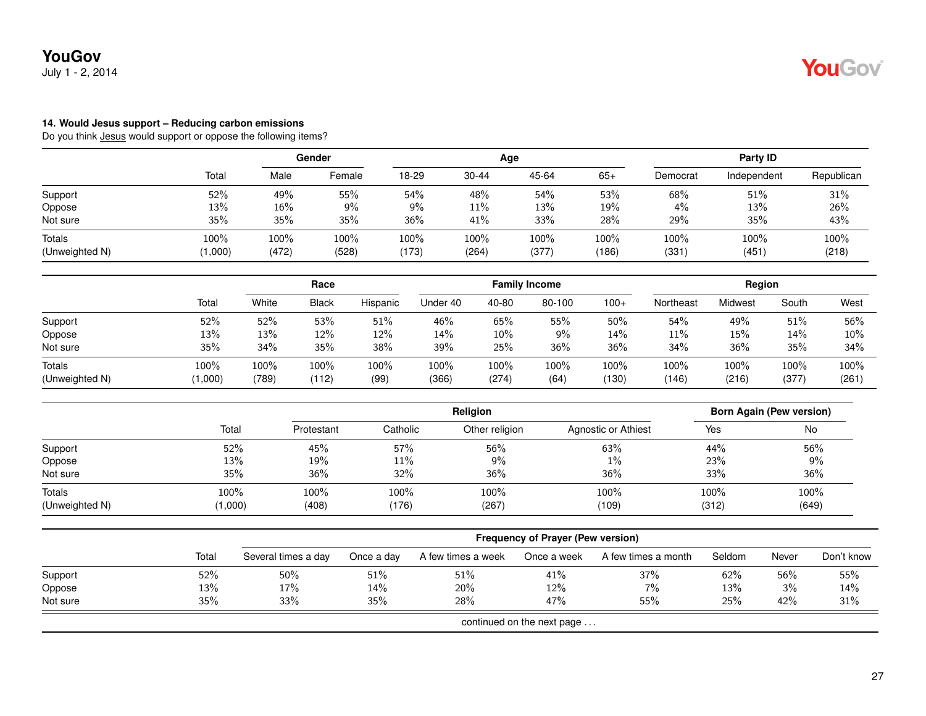July 1 - 2, 2014

#### **14. Would Jesus support – Reducing carbon emissions**

|                          |               |               | Gender        |               |               | Age           |               |               | Party ID      |               |  |  |
|--------------------------|---------------|---------------|---------------|---------------|---------------|---------------|---------------|---------------|---------------|---------------|--|--|
|                          | Total         | Male          | Female        | 18-29         | $30 - 44$     | 45-64         | $65+$         | Democrat      | Independent   | Republican    |  |  |
| Support                  | 52%           | 49%           | 55%           | 54%           | 48%           | 54%           | 53%           | 68%           | 51%           | 31%           |  |  |
| Oppose                   | 13%           | 16%           | $9\%$         | 9%            | $11\%$        | 13%           | 19%           | 4%            | 13%           | 26%           |  |  |
| Not sure                 | 35%           | 35%           | 35%           | 36%           | 41%           | 33%           | 28%           | 29%           | 35%           | 43%           |  |  |
| Totals<br>(Unweighted N) | 100%<br>1,000 | 100%<br>(472) | 100%<br>(528) | 100%<br>(173) | 100%<br>(264) | 100%<br>(377) | 100%<br>(186) | 100%<br>(331) | 100%<br>(451) | 100%<br>(218) |  |  |

|                | Total   |       | Race         |          |          |         | <b>Family Income</b> |        |           | Region  |       |         |
|----------------|---------|-------|--------------|----------|----------|---------|----------------------|--------|-----------|---------|-------|---------|
|                |         | White | <b>Black</b> | Hispanic | Under 40 | 40-80   | 80-100               | $100+$ | Northeast | Midwest | South | West    |
| Support        | 52%     | 52%   | 53%          | 51%      | 46%      | 65%     | 55%                  | 50%    | 54%       | 49%     | 51%   | 56%     |
| Oppose         | 13%     | 13%   | 12%          | 12%      | 14%      | $10\%$  | 9%                   | 14%    | 11%       | 15%     | 14%   | $10\%$  |
| Not sure       | 35%     | 34%   | 35%          | 38%      | 39%      | 25%     | 36%                  | 36%    | 34%       | 36%     | 35%   | 34%     |
| Totals         | 100%    | 100%  | 100%         | 100%     | 100%     | $100\%$ | 100%                 | 100%   | 100%      | 100%    | 100%  | $100\%$ |
| (Unweighted N) | (1,000) | (789) | (112)        | (99)     | (366)    | (274)   | (64)                 | (130)  | (146)     | (216)   | (377) | (261)   |

|                |         | <b>Religion</b> |          |                |                     | <b>Born Again (Pew version)</b> |       |  |
|----------------|---------|-----------------|----------|----------------|---------------------|---------------------------------|-------|--|
|                | Total   | Protestant      | Catholic | Other religion | Agnostic or Athiest | Yes                             | No    |  |
| Support        | 52%     | 45%             | 57%      | 56%            | 63%                 | 44%                             | 56%   |  |
| Oppose         | 13%     | 19%             | 11%      | 9%             | $1\%$               | 23%                             | 9%    |  |
| Not sure       | 35%     | 36%             | 32%      | 36%            | 36%                 | 33%                             | 36%   |  |
| Totals         | 100%    | 100%            | 100%     | 100%           | 100%                | 100%                            | 100%  |  |
| (Unweighted N) | (1,000) | (408)           | (176)    | (267)          | (109)               | (312)                           | (649) |  |

|                            |       | <b>Frequency of Prayer (Pew version)</b> |            |                    |             |                     |        |       |            |  |  |
|----------------------------|-------|------------------------------------------|------------|--------------------|-------------|---------------------|--------|-------|------------|--|--|
|                            | Total | Several times a day                      | Once a day | A few times a week | Once a week | A few times a month | Seldom | Never | Don't know |  |  |
| Support                    | 52%   | 50%                                      | 51%        | 51%                | 41%         | 37%                 | 62%    | 56%   | 55%        |  |  |
| Oppose                     | 13%   | 17%                                      | 14%        | 20%                | 12%         | 7%                  | 13%    | 3%    | 14%        |  |  |
| Not sure                   | 35%   | 33%                                      | 35%        | 28%                | 47%         | 55%                 | 25%    | 42%   | 31%        |  |  |
| continued on the next page |       |                                          |            |                    |             |                     |        |       |            |  |  |